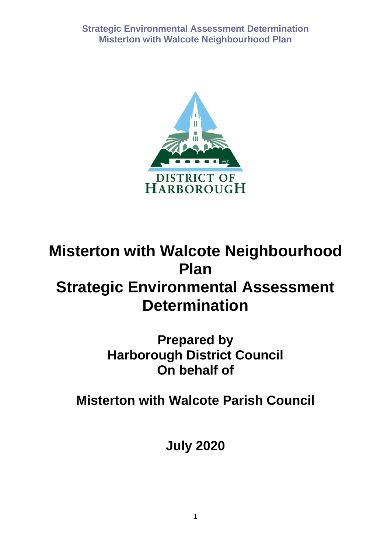

# **Misterton with Walcote Neighbourhood Plan Strategic Environmental Assessment Determination**

**Prepared by Harborough District Council On behalf of** 

**Misterton with Walcote Parish Council**

**July 2020**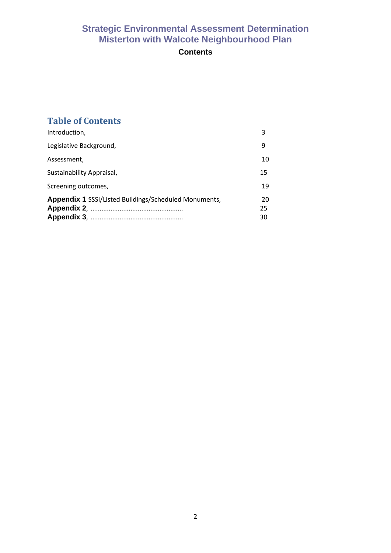## **Contents**

# **Table of Contents**

| Introduction,                                                | 3              |
|--------------------------------------------------------------|----------------|
| Legislative Background,                                      | 9              |
| Assessment,                                                  | 10             |
| Sustainability Appraisal,                                    | 15             |
| Screening outcomes,                                          | 19             |
| <b>Appendix 1 SSSI/Listed Buildings/Scheduled Monuments,</b> | 20<br>25<br>30 |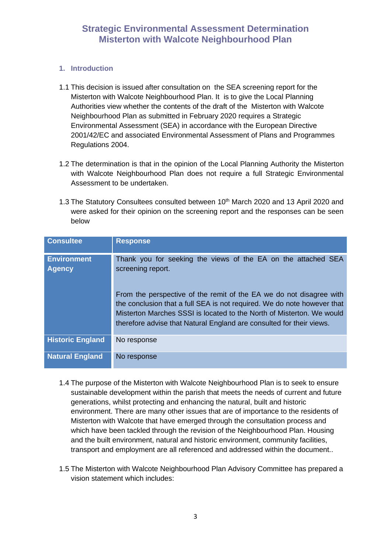#### **1. Introduction**

- 1.1 This decision is issued after consultation on the SEA screening report for the Misterton with Walcote Neighbourhood Plan. It is to give the Local Planning Authorities view whether the contents of the draft of the Misterton with Walcote Neighbourhood Plan as submitted in February 2020 requires a Strategic Environmental Assessment (SEA) in accordance with the European Directive 2001/42/EC and associated Environmental Assessment of Plans and Programmes Regulations 2004.
- 1.2 The determination is that in the opinion of the Local Planning Authority the Misterton with Walcote Neighbourhood Plan does not require a full Strategic Environmental Assessment to be undertaken.
- 1.3 The Statutory Consultees consulted between 10<sup>th</sup> March 2020 and 13 April 2020 and were asked for their opinion on the screening report and the responses can be seen below

| <b>Consultee</b>                    | <b>Response</b>                                                                                                                                                                                                                                                                                 |
|-------------------------------------|-------------------------------------------------------------------------------------------------------------------------------------------------------------------------------------------------------------------------------------------------------------------------------------------------|
| <b>Environment</b><br><b>Agency</b> | Thank you for seeking the views of the EA on the attached SEA<br>screening report.                                                                                                                                                                                                              |
|                                     | From the perspective of the remit of the EA we do not disagree with<br>the conclusion that a full SEA is not required. We do note however that<br>Misterton Marches SSSI is located to the North of Misterton. We would<br>therefore advise that Natural England are consulted for their views. |
| <b>Historic England</b>             | No response                                                                                                                                                                                                                                                                                     |
| <b>Natural England</b>              | No response                                                                                                                                                                                                                                                                                     |

- 1.4 The purpose of the Misterton with Walcote Neighbourhood Plan is to seek to ensure sustainable development within the parish that meets the needs of current and future generations, whilst protecting and enhancing the natural, built and historic environment. There are many other issues that are of importance to the residents of Misterton with Walcote that have emerged through the consultation process and which have been tackled through the revision of the Neighbourhood Plan. Housing and the built environment, natural and historic environment, community facilities, transport and employment are all referenced and addressed within the document..
- 1.5 The Misterton with Walcote Neighbourhood Plan Advisory Committee has prepared a vision statement which includes: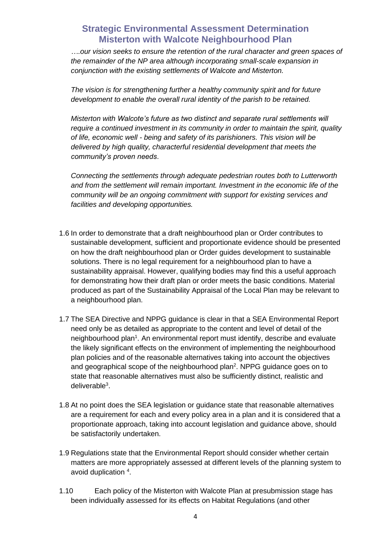*….our vision seeks to ensure the retention of the rural character and green spaces of the remainder of the NP area although incorporating small-scale expansion in conjunction with the existing settlements of Walcote and Misterton.*

*The vision is for strengthening further a healthy community spirit and for future development to enable the overall rural identity of the parish to be retained.*

*Misterton with Walcote's future as two distinct and separate rural settlements will require a continued investment in its community in order to maintain the spirit, quality of life, economic well - being and safety of its parishioners. This vision will be delivered by high quality, characterful residential development that meets the community's proven needs*.

*Connecting the settlements through adequate pedestrian routes both to Lutterworth and from the settlement will remain important. Investment in the economic life of the community will be an ongoing commitment with support for existing services and facilities and developing opportunities.*

- 1.6 In order to demonstrate that a draft neighbourhood plan or Order contributes to sustainable development, sufficient and proportionate evidence should be presented on how the draft neighbourhood plan or Order guides development to sustainable solutions. There is no legal requirement for a neighbourhood plan to have a sustainability appraisal. However, qualifying bodies may find this a useful approach for demonstrating how their draft plan or order meets the basic conditions. Material produced as part of the Sustainability Appraisal of the Local Plan may be relevant to a neighbourhood plan.
- 1.7 The SEA Directive and NPPG guidance is clear in that a SEA Environmental Report need only be as detailed as appropriate to the content and level of detail of the neighbourhood plan<sup>1</sup>. An environmental report must identify, describe and evaluate the likely significant effects on the environment of implementing the neighbourhood plan policies and of the reasonable alternatives taking into account the objectives and geographical scope of the neighbourhood plan<sup>2</sup>. NPPG guidance goes on to state that reasonable alternatives must also be sufficiently distinct, realistic and deliverable<sup>3</sup>.
- 1.8 At no point does the SEA legislation or guidance state that reasonable alternatives are a requirement for each and every policy area in a plan and it is considered that a proportionate approach, taking into account legislation and guidance above, should be satisfactorily undertaken.
- 1.9 Regulations state that the Environmental Report should consider whether certain matters are more appropriately assessed at different levels of the planning system to avoid duplication 4.
- 1.10 Each policy of the Misterton with Walcote Plan at presubmission stage has been individually assessed for its effects on Habitat Regulations (and other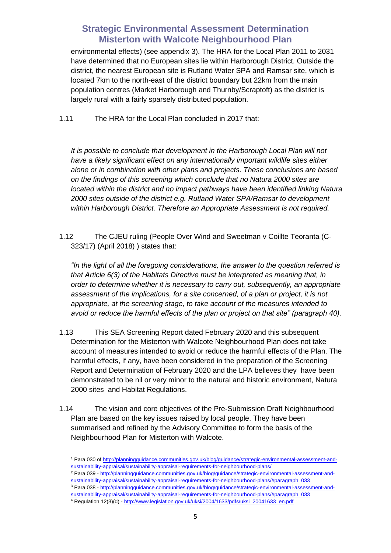environmental effects) (see appendix 3). The HRA for the Local Plan 2011 to 2031 have determined that no European sites lie within Harborough District. Outside the district, the nearest European site is Rutland Water SPA and Ramsar site, which is located 7km to the north-east of the district boundary but 22km from the main population centres (Market Harborough and Thurnby/Scraptoft) as the district is largely rural with a fairly sparsely distributed population.

1.11 The HRA for the Local Plan concluded in 2017 that:

*It is possible to conclude that development in the Harborough Local Plan will not have a likely significant effect on any internationally important wildlife sites either alone or in combination with other plans and projects. These conclusions are based on the findings of this screening which conclude that no Natura 2000 sites are located within the district and no impact pathways have been identified linking Natura 2000 sites outside of the district e.g. Rutland Water SPA/Ramsar to development within Harborough District. Therefore an Appropriate Assessment is not required.*

1.12 The CJEU ruling (People Over Wind and Sweetman v Coillte Teoranta (C-323/17) (April 2018) ) states that:

*"In the light of all the foregoing considerations, the answer to the question referred is that Article 6(3) of the Habitats Directive must be interpreted as meaning that, in order to determine whether it is necessary to carry out, subsequently, an appropriate assessment of the implications, for a site concerned, of a plan or project, it is not appropriate, at the screening stage, to take account of the measures intended to avoid or reduce the harmful effects of the plan or project on that site" (paragraph 40).*

- 1.13 This SEA Screening Report dated February 2020 and this subsequent Determination for the Misterton with Walcote Neighbourhood Plan does not take account of measures intended to avoid or reduce the harmful effects of the Plan. The harmful effects, if any, have been considered in the preparation of the Screening Report and Determination of February 2020 and the LPA believes they have been demonstrated to be nil or very minor to the natural and historic environment, Natura 2000 sites and Habitat Regulations.
- 1.14 The vision and core objectives of the Pre-Submission Draft Neighbourhood Plan are based on the key issues raised by local people. They have been summarised and refined by the Advisory Committee to form the basis of the Neighbourhood Plan for Misterton with Walcote.

- <sup>2</sup> Para 039 [http://planningguidance.communities.gov.uk/blog/guidance/strategic-environmental-assessment-and](http://planningguidance.communities.gov.uk/blog/guidance/strategic-environmental-assessment-and-sustainability-appraisal/sustainability-appraisal-requirements-for-neighbourhood-plans/#paragraph_033)[sustainability-appraisal/sustainability-appraisal-requirements-for-neighbourhood-plans/#paragraph\\_033](http://planningguidance.communities.gov.uk/blog/guidance/strategic-environmental-assessment-and-sustainability-appraisal/sustainability-appraisal-requirements-for-neighbourhood-plans/#paragraph_033)
- <sup>3</sup> Para 038 [http://planningguidance.communities.gov.uk/blog/guidance/strategic-environmental-assessment-and-](http://planningguidance.communities.gov.uk/blog/guidance/strategic-environmental-assessment-and-sustainability-appraisal/sustainability-appraisal-requirements-for-neighbourhood-plans/#paragraph_033)
- [sustainability-appraisal/sustainability-appraisal-requirements-for-neighbourhood-plans/#paragraph\\_033](http://planningguidance.communities.gov.uk/blog/guidance/strategic-environmental-assessment-and-sustainability-appraisal/sustainability-appraisal-requirements-for-neighbourhood-plans/#paragraph_033)  <sup>4</sup> Regulation 12(3)(d) - [http://www.legislation.gov.uk/uksi/2004/1633/pdfs/uksi\\_20041633\\_en.pdf](http://www.legislation.gov.uk/uksi/2004/1633/pdfs/uksi_20041633_en.pdf)

<sup>1</sup> Para 030 o[f http://planningguidance.communities.gov.uk/blog/guidance/strategic-environmental-assessment-and](http://planningguidance.communities.gov.uk/blog/guidance/strategic-environmental-assessment-and-sustainability-appraisal/sustainability-appraisal-requirements-for-neighbourhood-plans/)[sustainability-appraisal/sustainability-appraisal-requirements-for-neighbourhood-plans/](http://planningguidance.communities.gov.uk/blog/guidance/strategic-environmental-assessment-and-sustainability-appraisal/sustainability-appraisal-requirements-for-neighbourhood-plans/)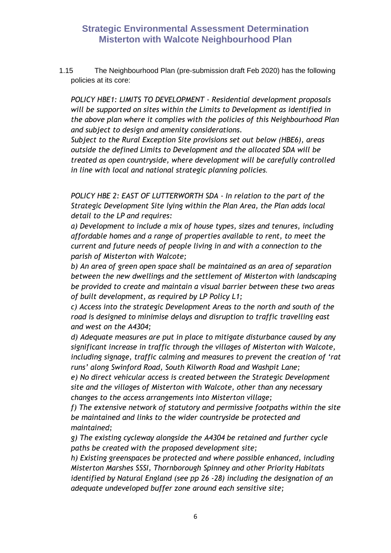1.15 The Neighbourhood Plan (pre-submission draft Feb 2020) has the following policies at its core:

*POLICY HBE1: LIMITS TO DEVELOPMENT - Residential development proposals will be supported on sites within the Limits to Development as identified in the above plan where it complies with the policies of this Neighbourhood Plan and subject to design and amenity considerations.*

*Subject to the Rural Exception Site provisions set out below (HBE6), areas outside the defined Limits to Development and the allocated SDA will be treated as open countryside, where development will be carefully controlled in line with local and national strategic planning policies.*

*POLICY HBE 2: EAST OF LUTTERWORTH SDA - In relation to the part of the Strategic Development Site lying within the Plan Area, the Plan adds local detail to the LP and requires:* 

*a) Development to include a mix of house types, sizes and tenures, including affordable homes and a range of properties available to rent, to meet the current and future needs of people living in and with a connection to the parish of Misterton with Walcote;* 

*b) An area of green open space shall be maintained as an area of separation between the new dwellings and the settlement of Misterton with landscaping be provided to create and maintain a visual barrier between these two areas of built development, as required by LP Policy L1;* 

*c) Access into the strategic Development Areas to the north and south of the road is designed to minimise delays and disruption to traffic travelling east and west on the A4304;* 

*d) Adequate measures are put in place to mitigate disturbance caused by any significant increase in traffic through the villages of Misterton with Walcote, including signage, traffic calming and measures to prevent the creation of 'rat runs' along Swinford Road, South Kilworth Road and Washpit Lane;* 

*e) No direct vehicular access is created between the Strategic Development site and the villages of Misterton with Walcote, other than any necessary changes to the access arrangements into Misterton village;* 

*f) The extensive network of statutory and permissive footpaths within the site be maintained and links to the wider countryside be protected and maintained;* 

*g) The existing cycleway alongside the A4304 be retained and further cycle paths be created with the proposed development site;*

*h) Existing greenspaces be protected and where possible enhanced, including Misterton Marshes SSSI, Thornborough Spinney and other Priority Habitats identified by Natural England (see pp 26 -28) including the designation of an adequate undeveloped buffer zone around each sensitive site;*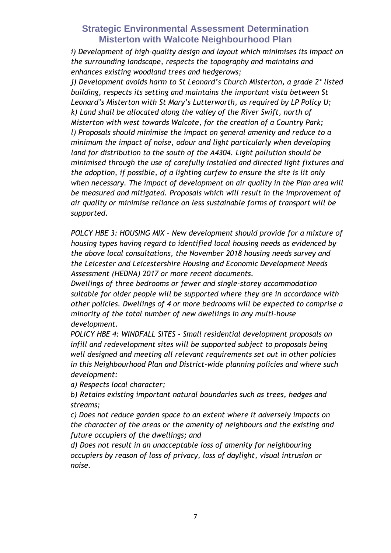*i) Development of high-quality design and layout which minimises its impact on the surrounding landscape, respects the topography and maintains and enhances existing woodland trees and hedgerows;*

*j) Development avoids harm to St Leonard's Church Misterton, a grade 2\* listed building, respects its setting and maintains the important vista between St Leonard's Misterton with St Mary's Lutterworth, as required by LP Policy U; k) Land shall be allocated along the valley of the River Swift, north of Misterton with west towards Walcote, for the creation of a Country Park; l) Proposals should minimise the impact on general amenity and reduce to a minimum the impact of noise, odour and light particularly when developing land for distribution to the south of the A4304. Light pollution should be minimised through the use of carefully installed and directed light fixtures and the adoption, if possible, of a lighting curfew to ensure the site is lit only when necessary. The impact of development on air quality in the Plan area will be measured and mitigated. Proposals which will result in the improvement of air quality or minimise reliance on less sustainable forms of transport will be supported.*

*POLCY HBE 3: HOUSING MIX – New development should provide for a mixture of housing types having regard to identified local housing needs as evidenced by the above local consultations, the November 2018 housing needs survey and the Leicester and Leicestershire Housing and Economic Development Needs Assessment (HEDNA) 2017 or more recent documents.*

*Dwellings of three bedrooms or fewer and single-storey accommodation suitable for older people will be supported where they are in accordance with other policies. Dwellings of 4 or more bedrooms will be expected to comprise a minority of the total number of new dwellings in any multi-house development.*

*POLICY HBE 4: WINDFALL SITES - Small residential development proposals on infill and redevelopment sites will be supported subject to proposals being well designed and meeting all relevant requirements set out in other policies in this Neighbourhood Plan and District-wide planning policies and where such development:*

*a) Respects local character;*

*b) Retains existing important natural boundaries such as trees, hedges and streams;*

*c) Does not reduce garden space to an extent where it adversely impacts on the character of the areas or the amenity of neighbours and the existing and future occupiers of the dwellings; and*

*d) Does not result in an unacceptable loss of amenity for neighbouring occupiers by reason of loss of privacy, loss of daylight, visual intrusion or noise.*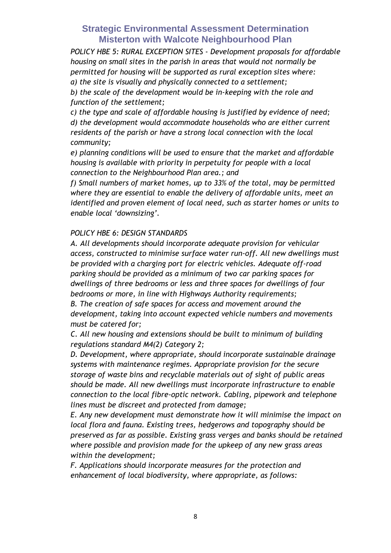*POLICY HBE 5: RURAL EXCEPTION SITES - Development proposals for affordable housing on small sites in the parish in areas that would not normally be permitted for housing will be supported as rural exception sites where: a) the site is visually and physically connected to a settlement;*

*b) the scale of the development would be in-keeping with the role and function of the settlement;*

*c) the type and scale of affordable housing is justified by evidence of need; d) the development would accommodate households who are either current residents of the parish or have a strong local connection with the local community;*

*e) planning conditions will be used to ensure that the market and affordable housing is available with priority in perpetuity for people with a local connection to the Neighbourhood Plan area.; and*

*f) Small numbers of market homes, up to 33% of the total, may be permitted where they are essential to enable the delivery of affordable units, meet an identified and proven element of local need, such as starter homes or units to enable local 'downsizing'.*

### *POLICY HBE 6: DESIGN STANDARDS*

*A. All developments should incorporate adequate provision for vehicular access, constructed to minimise surface water run-off. All new dwellings must be provided with a charging port for electric vehicles. Adequate off-road parking should be provided as a minimum of two car parking spaces for dwellings of three bedrooms or less and three spaces for dwellings of four bedrooms or more, in line with Highways Authority requirements;*

*B. The creation of safe spaces for access and movement around the development, taking into account expected vehicle numbers and movements must be catered for;*

*C. All new housing and extensions should be built to minimum of building regulations standard M4(2) Category 2;*

*D. Development, where appropriate, should incorporate sustainable drainage systems with maintenance regimes. Appropriate provision for the secure storage of waste bins and recyclable materials out of sight of public areas should be made. All new dwellings must incorporate infrastructure to enable connection to the local fibre-optic network. Cabling, pipework and telephone lines must be discreet and protected from damage;*

*E. Any new development must demonstrate how it will minimise the impact on local flora and fauna. Existing trees, hedgerows and topography should be preserved as far as possible. Existing grass verges and banks should be retained where possible and provision made for the upkeep of any new grass areas within the development;*

*F. Applications should incorporate measures for the protection and enhancement of local biodiversity, where appropriate, as follows:*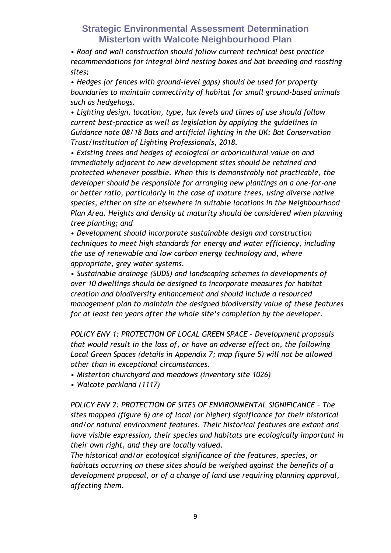*• Roof and wall construction should follow current technical best practice recommendations for integral bird nesting boxes and bat breeding and roosting sites;*

*• Hedges (or fences with ground-level gaps) should be used for property boundaries to maintain connectivity of habitat for small ground-based animals such as hedgehogs.*

*• Lighting design, location, type, lux levels and times of use should follow current best-practice as well as legislation by applying the guidelines in Guidance note 08/18 Bats and artificial lighting in the UK: Bat Conservation Trust/Institution of Lighting Professionals, 2018.*

*• Existing trees and hedges of ecological or arboricultural value on and immediately adjacent to new development sites should be retained and protected whenever possible. When this is demonstrably not practicable, the developer should be responsible for arranging new plantings on a one-for-one or better ratio, particularly in the case of mature trees, using diverse native species, either on site or elsewhere in suitable locations in the Neighbourhood Plan Area. Heights and density at maturity should be considered when planning tree planting; and*

*• Development should incorporate sustainable design and construction techniques to meet high standards for energy and water efficiency, including the use of renewable and low carbon energy technology and, where appropriate, grey water systems.*

*• Sustainable drainage (SUDS) and landscaping schemes in developments of over 10 dwellings should be designed to incorporate measures for habitat creation and biodiversity enhancement and should include a resourced management plan to maintain the designed biodiversity value of these features for at least ten years after the whole site's completion by the developer.*

*POLICY ENV 1: PROTECTION OF LOCAL GREEN SPACE – Development proposals that would result in the loss of, or have an adverse effect on, the following Local Green Spaces (details in Appendix 7; map figure 5) will not be allowed other than in exceptional circumstances.*

*• Misterton churchyard and meadows (inventory site 1026)*

*• Walcote parkland (1117)*

*POLICY ENV 2: PROTECTION OF SITES OF ENVIRONMENTAL SIGNIFICANCE – The sites mapped (figure 6) are of local (or higher) significance for their historical and/or natural environment features. Their historical features are extant and have visible expression, their species and habitats are ecologically important in their own right, and they are locally valued.*

*The historical and/or ecological significance of the features, species, or habitats occurring on these sites should be weighed against the benefits of a development proposal, or of a change of land use requiring planning approval, affecting them.*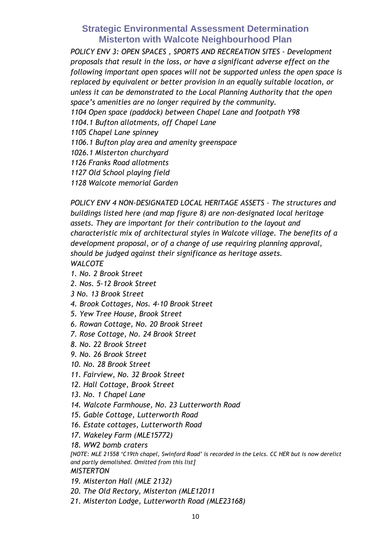*POLICY ENV 3: OPEN SPACES , SPORTS AND RECREATION SITES - Development proposals that result in the loss, or have a significant adverse effect on the following important open spaces will not be supported unless the open space is replaced by equivalent or better provision in an equally suitable location, or unless it can be demonstrated to the Local Planning Authority that the open space's amenities are no longer required by the community. 1104 Open space (paddock) between Chapel Lane and footpath Y98 1104.1 Bufton allotments, off Chapel Lane 1105 Chapel Lane spinney 1106.1 Bufton play area and amenity greenspace 1026.1 Misterton churchyard 1126 Franks Road allotments 1127 Old School playing field 1128 Walcote memorial Garden*

*POLICY ENV 4 NON-DESIGNATED LOCAL HERITAGE ASSETS – The structures and buildings listed here (and map figure 8) are non-designated local heritage assets. They are important for their contribution to the layout and characteristic mix of architectural styles in Walcote village. The benefits of a development proposal, or of a change of use requiring planning approval, should be judged against their significance as heritage assets. WALCOTE*

- *1. No. 2 Brook Street*
- *2. Nos. 5-12 Brook Street*
- *3 No. 13 Brook Street*
- *4. Brook Cottages, Nos. 4-10 Brook Street*
- *5. Yew Tree House, Brook Street*
- *6. Rowan Cottage, No. 20 Brook Street*
- *7. Rose Cottage, No. 24 Brook Street*
- *8. No. 22 Brook Street*
- *9. No. 26 Brook Street*
- *10. No. 28 Brook Street*
- *11. Fairview, No. 32 Brook Street*
- *12. Hall Cottage, Brook Street*
- *13. No. 1 Chapel Lane*
- *14. Walcote Farmhouse, No. 23 Lutterworth Road*
- *15. Gable Cottage, Lutterworth Road*
- *16. Estate cottages, Lutterworth Road*
- *17. Wakeley Farm (MLE15772)*
- *18. WW2 bomb craters*

*[NOTE: MLE 21558 'C19th chapel, Swinford Road' is recorded in the Leics. CC HER but is now derelict and partly demolished. Omitted from this list] MISTERTON*

### *19. Misterton Hall (MLE 2132)*

- *20. The Old Rectory, Misterton (MLE12011*
- *21. Misterton Lodge, Lutterworth Road (MLE23168)*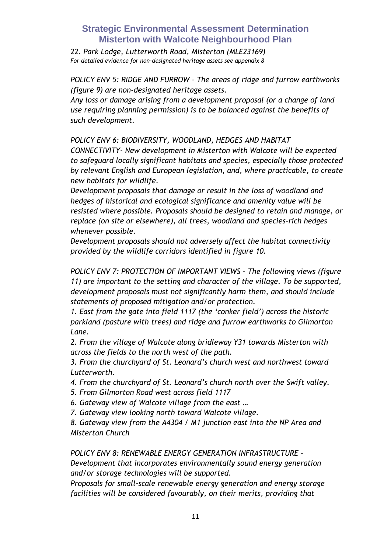*22. Park Lodge, Lutterworth Road, Misterton (MLE23169) For detailed evidence for non-designated heritage assets see appendix 8*

*POLICY ENV 5: RIDGE AND FURROW - The areas of ridge and furrow earthworks (figure 9) are non-designated heritage assets.*

*Any loss or damage arising from a development proposal (or a change of land use requiring planning permission) is to be balanced against the benefits of such development.*

*POLICY ENV 6: BIODIVERSITY, WOODLAND, HEDGES AND HABITAT* 

*CONNECTIVITY- New development in Misterton with Walcote will be expected to safeguard locally significant habitats and species, especially those protected by relevant English and European legislation, and, where practicable, to create new habitats for wildlife.*

*Development proposals that damage or result in the loss of woodland and hedges of historical and ecological significance and amenity value will be resisted where possible. Proposals should be designed to retain and manage, or replace (on site or elsewhere), all trees, woodland and species-rich hedges whenever possible.*

*Development proposals should not adversely affect the habitat connectivity provided by the wildlife corridors identified in figure 10.*

*POLICY ENV 7: PROTECTION OF IMPORTANT VIEWS – The following views (figure 11) are important to the setting and character of the village. To be supported, development proposals must not significantly harm them, and should include statements of proposed mitigation and/or protection.*

*1. East from the gate into field 1117 (the 'conker field') across the historic parkland (pasture with trees) and ridge and furrow earthworks to Gilmorton Lane.*

*2. From the village of Walcote along bridleway Y31 towards Misterton with across the fields to the north west of the path.*

*3. From the churchyard of St. Leonard's church west and northwest toward Lutterworth.*

*4. From the churchyard of St. Leonard's church north over the Swift valley.*

- *5. From Gilmorton Road west across field 1117*
- *6. Gateway view of Walcote village from the east …*

*7. Gateway view looking north toward Walcote village.*

*8. Gateway view from the A4304 / M1 junction east into the NP Area and Misterton Church*

*POLICY ENV 8: RENEWABLE ENERGY GENERATION INFRASTRUCTURE –*

*Development that incorporates environmentally sound energy generation and/or storage technologies will be supported.*

*Proposals for small-scale renewable energy generation and energy storage facilities will be considered favourably, on their merits, providing that*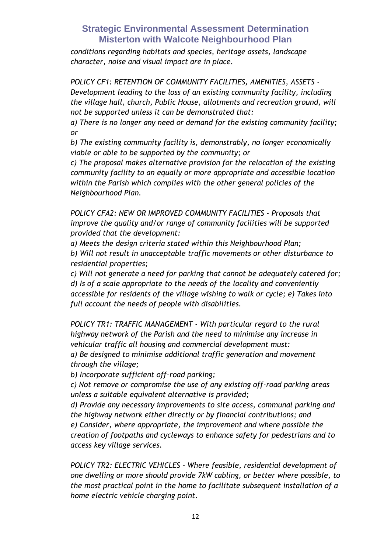*conditions regarding habitats and species, heritage assets, landscape character, noise and visual impact are in place.*

*POLICY CF1: RETENTION OF COMMUNITY FACILITIES, AMENITIES, ASSETS - Development leading to the loss of an existing community facility, including the village hall, church, Public House, allotments and recreation ground, will not be supported unless it can be demonstrated that:*

*a) There is no longer any need or demand for the existing community facility; or*

*b) The existing community facility is, demonstrably, no longer economically viable or able to be supported by the community; or*

*c) The proposal makes alternative provision for the relocation of the existing community facility to an equally or more appropriate and accessible location within the Parish which complies with the other general policies of the Neighbourhood Plan.*

*POLICY CFA2: NEW OR IMPROVED COMMUNITY FACILITIES - Proposals that improve the quality and/or range of community facilities will be supported provided that the development:*

*a) Meets the design criteria stated within this Neighbourhood Plan; b) Will not result in unacceptable traffic movements or other disturbance to residential properties;*

*c) Will not generate a need for parking that cannot be adequately catered for; d) Is of a scale appropriate to the needs of the locality and conveniently accessible for residents of the village wishing to walk or cycle; e) Takes into full account the needs of people with disabilities.*

*POLICY TR1: TRAFFIC MANAGEMENT - With particular regard to the rural highway network of the Parish and the need to minimise any increase in vehicular traffic all housing and commercial development must: a) Be designed to minimise additional traffic generation and movement through the village;* 

*b) Incorporate sufficient off-road parking;* 

*c) Not remove or compromise the use of any existing off-road parking areas unless a suitable equivalent alternative is provided;* 

*d) Provide any necessary improvements to site access, communal parking and the highway network either directly or by financial contributions; and e) Consider, where appropriate, the improvement and where possible the creation of footpaths and cycleways to enhance safety for pedestrians and to access key village services.*

*POLICY TR2: ELECTRIC VEHICLES – Where feasible, residential development of one dwelling or more should provide 7kW cabling, or better where possible, to the most practical point in the home to facilitate subsequent installation of a home electric vehicle charging point.*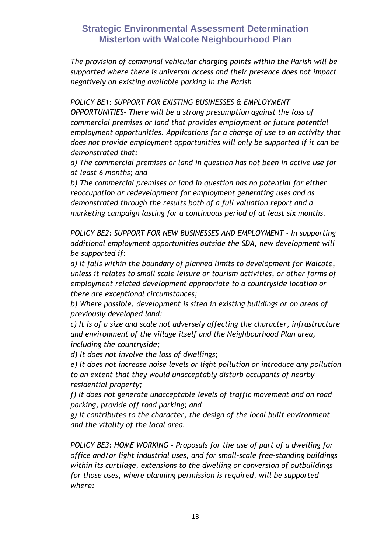*The provision of communal vehicular charging points within the Parish will be supported where there is universal access and their presence does not impact negatively on existing available parking in the Parish*

*POLICY BE1: SUPPORT FOR EXISTING BUSINESSES & EMPLOYMENT* 

*OPPORTUNITIES- There will be a strong presumption against the loss of commercial premises or land that provides employment or future potential employment opportunities. Applications for a change of use to an activity that does not provide employment opportunities will only be supported if it can be demonstrated that:* 

*a) The commercial premises or land in question has not been in active use for at least 6 months; and* 

*b) The commercial premises or land in question has no potential for either reoccupation or redevelopment for employment generating uses and as demonstrated through the results both of a full valuation report and a marketing campaign lasting for a continuous period of at least six months.*

*POLICY BE2: SUPPORT FOR NEW BUSINESSES AND EMPLOYMENT - In supporting additional employment opportunities outside the SDA, new development will be supported if:* 

*a) It falls within the boundary of planned limits to development for Walcote, unless it relates to small scale leisure or tourism activities, or other forms of employment related development appropriate to a countryside location or there are exceptional circumstances;* 

*b) Where possible, development is sited in existing buildings or on areas of previously developed land;* 

*c) It is of a size and scale not adversely affecting the character, infrastructure and environment of the village itself and the Neighbourhood Plan area, including the countryside;* 

*d) It does not involve the loss of dwellings;* 

*e) It does not increase noise levels or light pollution or introduce any pollution to an extent that they would unacceptably disturb occupants of nearby residential property;* 

*f) It does not generate unacceptable levels of traffic movement and on road parking, provide off road parking; and* 

*g) It contributes to the character, the design of the local built environment and the vitality of the local area.*

*POLICY BE3: HOME WORKING - Proposals for the use of part of a dwelling for office and/or light industrial uses, and for small-scale free-standing buildings within its curtilage, extensions to the dwelling or conversion of outbuildings for those uses, where planning permission is required, will be supported where:*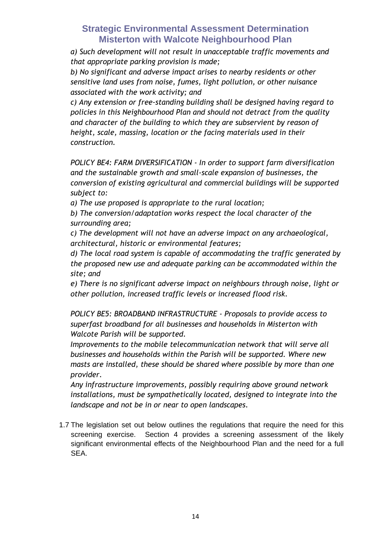*a) Such development will not result in unacceptable traffic movements and that appropriate parking provision is made;* 

*b) No significant and adverse impact arises to nearby residents or other sensitive land uses from noise, fumes, light pollution, or other nuisance associated with the work activity; and* 

*c) Any extension or free-standing building shall be designed having regard to policies in this Neighbourhood Plan and should not detract from the quality and character of the building to which they are subservient by reason of height, scale, massing, location or the facing materials used in their construction.*

*POLICY BE4: FARM DIVERSIFICATION - In order to support farm diversification and the sustainable growth and small-scale expansion of businesses, the conversion of existing agricultural and commercial buildings will be supported subject to:* 

*a) The use proposed is appropriate to the rural location;* 

*b) The conversion/adaptation works respect the local character of the surrounding area;* 

*c) The development will not have an adverse impact on any archaeological, architectural, historic or environmental features;* 

*d) The local road system is capable of accommodating the traffic generated by the proposed new use and adequate parking can be accommodated within the site; and* 

*e) There is no significant adverse impact on neighbours through noise, light or other pollution, increased traffic levels or increased flood risk.*

*POLICY BE5: BROADBAND INFRASTRUCTURE - Proposals to provide access to superfast broadband for all businesses and households in Misterton with Walcote Parish will be supported.* 

*Improvements to the mobile telecommunication network that will serve all businesses and households within the Parish will be supported. Where new masts are installed, these should be shared where possible by more than one provider.* 

*Any infrastructure improvements, possibly requiring above ground network installations, must be sympathetically located, designed to integrate into the landscape and not be in or near to open landscapes.*

1.7 The legislation set out below outlines the regulations that require the need for this screening exercise. Section 4 provides a screening assessment of the likely significant environmental effects of the Neighbourhood Plan and the need for a full SEA.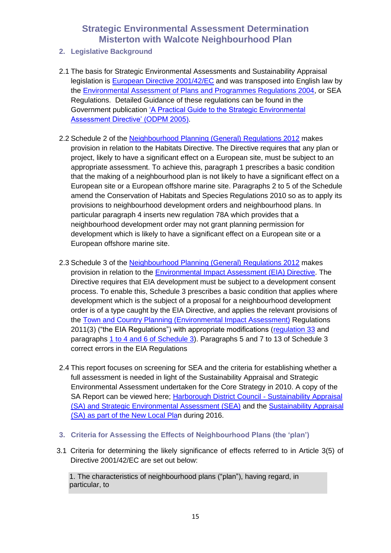- **2. Legislative Background**
- 2.1 The basis for Strategic Environmental Assessments and Sustainability Appraisal legislation is [European Directive 2001/42/EC](http://eur-lex.europa.eu/LexUriServ/LexUriServ.do?uri=CELEX:32001L0042:EN:NOT) and was transposed into English law by the [Environmental Assessment of Plans and Programmes Regulations 2004,](http://www.legislation.gov.uk/uksi/2004/1633/contents/made) or SEA Regulations. Detailed Guidance of these regulations can be found in the Government publication ['A Practical Guide to the Strategic Environmental](http://www.communities.gov.uk/documents/planningandbuilding/pdf/practicalguidesea.pdf)  [Assessment Directive' \(ODPM 2005\).](http://www.communities.gov.uk/documents/planningandbuilding/pdf/practicalguidesea.pdf)
- 2.2 Schedule 2 of the [Neighbourhood Planning \(General\) Regulations 2012](http://www.legislation.gov.uk/uksi/2012/637/contents/made) makes provision in relation to the Habitats Directive. The Directive requires that any plan or project, likely to have a significant effect on a European site, must be subject to an appropriate assessment. To achieve this, paragraph 1 prescribes a basic condition that the making of a neighbourhood plan is not likely to have a significant effect on a European site or a European offshore marine site. Paragraphs 2 to 5 of the Schedule amend the Conservation of Habitats and Species Regulations 2010 so as to apply its provisions to neighbourhood development orders and neighbourhood plans. In particular paragraph 4 inserts new regulation 78A which provides that a neighbourhood development order may not grant planning permission for development which is likely to have a significant effect on a European site or a European offshore marine site.
- 2.3 Schedule 3 of the [Neighbourhood Planning \(General\) Regulations 2012](http://www.legislation.gov.uk/uksi/2012/637/contents/made) makes provision in relation to the [Environmental Impact Assessment](http://europa.eu/legislation_summaries/environment/general_provisions/l28036_en.htm) (EIA) Directive. The Directive requires that EIA development must be subject to a development consent process. To enable this, Schedule 3 prescribes a basic condition that applies where development which is the subject of a proposal for a neighbourhood development order is of a type caught by the EIA Directive, and applies the relevant provisions of the [Town and Country Planning \(Environmental Impact Assessment\)](http://www.legislation.gov.uk/uksi/2011/1824/contents/made) Regulations 2011[\(3\)](http://www.legislation.gov.uk/uksi/2012/637/note/made#f00037#f00037) ("the EIA Regulations") with appropriate modifications [\(regulation 33](http://www.legislation.gov.uk/uksi/2011/1824/regulation/33/made) and paragraphs [1 to 4 and 6 of Schedule 3\)](http://www.legislation.gov.uk/uksi/2011/1824/schedule/3/made). Paragraphs 5 and 7 to 13 of Schedule 3 correct errors in the EIA Regulations
- 2.4 This report focuses on screening for SEA and the criteria for establishing whether a full assessment is needed in light of the Sustainability Appraisal and Strategic Environmental Assessment undertaken for the Core Strategy in 2010. A copy of the SA Report can be viewed here; [Harborough District Council -](http://www.harborough.gov.uk/directory_record/562/sustainability_appraisal_and_strategic_environmental_assessment) Sustainability Appraisal [\(SA\) and Strategic Environmental Assessment \(SEA\)](http://www.harborough.gov.uk/directory_record/562/sustainability_appraisal_and_strategic_environmental_assessment) and the [Sustainability Appraisal](http://www.harborough.gov.uk/directory_record/724/sustainability_appraisal_and_strategic_environmental_assessment_-_new_local_plan)  [\(SA\) as part of the New Local Plan](http://www.harborough.gov.uk/directory_record/724/sustainability_appraisal_and_strategic_environmental_assessment_-_new_local_plan) during 2016.
- **3. Criteria for Assessing the Effects of Neighbourhood Plans (the 'plan')**
- 3.1 Criteria for determining the likely significance of effects referred to in Article 3(5) of Directive 2001/42/EC are set out below:

1. The characteristics of neighbourhood plans ("plan"), having regard, in particular, to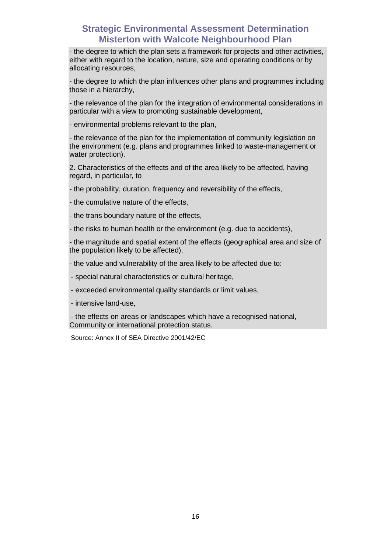- the degree to which the plan sets a framework for projects and other activities, either with regard to the location, nature, size and operating conditions or by allocating resources,

- the degree to which the plan influences other plans and programmes including those in a hierarchy,

- the relevance of the plan for the integration of environmental considerations in particular with a view to promoting sustainable development,

- environmental problems relevant to the plan,

- the relevance of the plan for the implementation of community legislation on the environment (e.g. plans and programmes linked to waste-management or water protection).

2. Characteristics of the effects and of the area likely to be affected, having regard, in particular, to

- the probability, duration, frequency and reversibility of the effects,

- the cumulative nature of the effects,

- the trans boundary nature of the effects,

- the risks to human health or the environment (e.g. due to accidents),

- the magnitude and spatial extent of the effects (geographical area and size of the population likely to be affected),

- the value and vulnerability of the area likely to be affected due to:

- special natural characteristics or cultural heritage,
- exceeded environmental quality standards or limit values,
- intensive land-use,

- the effects on areas or landscapes which have a recognised national, Community or international protection status.

Source: Annex II of SEA Directive 2001/42/EC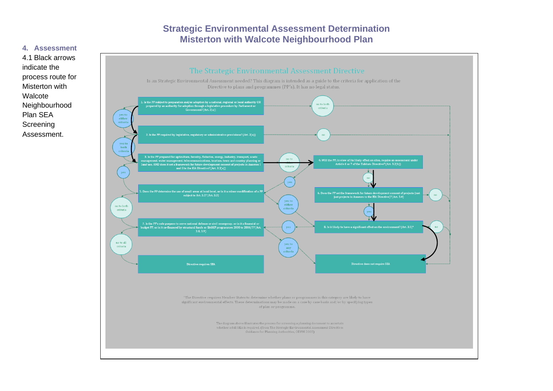#### **4. Assessment**



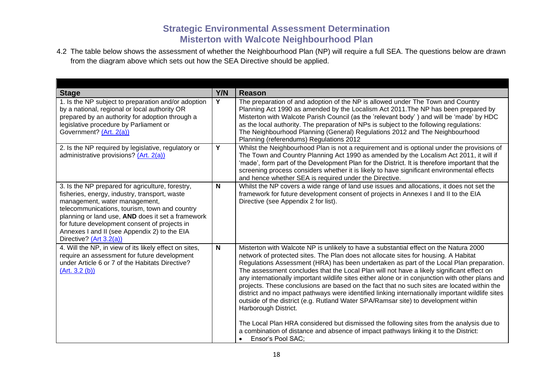4.2 The table below shows the assessment of whether the Neighbourhood Plan (NP) will require a full SEA. The questions below are drawn from the diagram above which sets out how the SEA Directive should be applied.

| <b>Stage</b>                                                                                                                                                                                                                                                                                                                                                         | Y/N          | <b>Reason</b>                                                                                                                                                                                                                                                                                                                                                                                                                                                                                                                                                                                                                                                                                                                                                                                                                                                                                                                                                                                                   |
|----------------------------------------------------------------------------------------------------------------------------------------------------------------------------------------------------------------------------------------------------------------------------------------------------------------------------------------------------------------------|--------------|-----------------------------------------------------------------------------------------------------------------------------------------------------------------------------------------------------------------------------------------------------------------------------------------------------------------------------------------------------------------------------------------------------------------------------------------------------------------------------------------------------------------------------------------------------------------------------------------------------------------------------------------------------------------------------------------------------------------------------------------------------------------------------------------------------------------------------------------------------------------------------------------------------------------------------------------------------------------------------------------------------------------|
| 1. Is the NP subject to preparation and/or adoption<br>by a national, regional or local authority OR<br>prepared by an authority for adoption through a<br>legislative procedure by Parliament or<br>Government? (Art. 2(a))                                                                                                                                         | Y            | The preparation of and adoption of the NP is allowed under The Town and Country<br>Planning Act 1990 as amended by the Localism Act 2011. The NP has been prepared by<br>Misterton with Walcote Parish Council (as the 'relevant body') and will be 'made' by HDC<br>as the local authority. The preparation of NPs is subject to the following regulations:<br>The Neighbourhood Planning (General) Regulations 2012 and The Neighbourhood<br>Planning (referendums) Regulations 2012                                                                                                                                                                                                                                                                                                                                                                                                                                                                                                                          |
| 2. Is the NP required by legislative, regulatory or<br>administrative provisions? (Art. 2(a))                                                                                                                                                                                                                                                                        | Y            | Whilst the Neighbourhood Plan is not a requirement and is optional under the provisions of<br>The Town and Country Planning Act 1990 as amended by the Localism Act 2011, it will if<br>'made', form part of the Development Plan for the District. It is therefore important that the<br>screening process considers whether it is likely to have significant environmental effects<br>and hence whether SEA is required under the Directive.                                                                                                                                                                                                                                                                                                                                                                                                                                                                                                                                                                  |
| 3. Is the NP prepared for agriculture, forestry,<br>fisheries, energy, industry, transport, waste<br>management, water management,<br>telecommunications, tourism, town and country<br>planning or land use, AND does it set a framework<br>for future development consent of projects in<br>Annexes I and II (see Appendix 2) to the EIA<br>Directive? (Art 3.2(a)) | N            | Whilst the NP covers a wide range of land use issues and allocations, it does not set the<br>framework for future development consent of projects in Annexes I and II to the EIA<br>Directive (see Appendix 2 for list).                                                                                                                                                                                                                                                                                                                                                                                                                                                                                                                                                                                                                                                                                                                                                                                        |
| 4. Will the NP, in view of its likely effect on sites,<br>require an assessment for future development<br>under Article 6 or 7 of the Habitats Directive?<br>(Art. 3.2 (b))                                                                                                                                                                                          | $\mathsf{N}$ | Misterton with Walcote NP is unlikely to have a substantial effect on the Natura 2000<br>network of protected sites. The Plan does not allocate sites for housing. A Habitat<br>Regulations Assessment (HRA) has been undertaken as part of the Local Plan preparation.<br>The assessment concludes that the Local Plan will not have a likely significant effect on<br>any internationally important wildlife sites either alone or in conjunction with other plans and<br>projects. These conclusions are based on the fact that no such sites are located within the<br>district and no impact pathways were identified linking internationally important wildlife sites<br>outside of the district (e.g. Rutland Water SPA/Ramsar site) to development within<br>Harborough District.<br>The Local Plan HRA considered but dismissed the following sites from the analysis due to<br>a combination of distance and absence of impact pathways linking it to the District:<br>Ensor's Pool SAC;<br>$\bullet$ |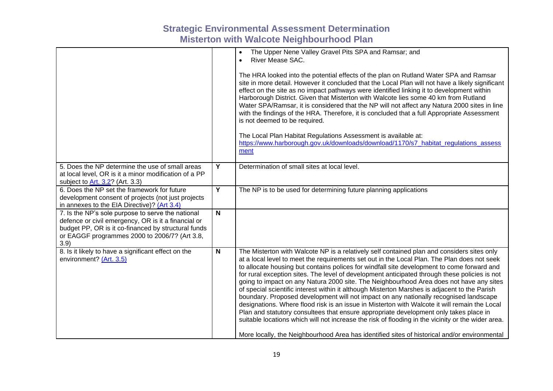|                                                                                                                                                                                                                          |   | The Upper Nene Valley Gravel Pits SPA and Ramsar; and<br>$\bullet$<br>River Mease SAC.<br>$\bullet$<br>The HRA looked into the potential effects of the plan on Rutland Water SPA and Ramsar<br>site in more detail. However it concluded that the Local Plan will not have a likely significant<br>effect on the site as no impact pathways were identified linking it to development within<br>Harborough District. Given that Misterton with Walcote lies some 40 km from Rutland<br>Water SPA/Ramsar, it is considered that the NP will not affect any Natura 2000 sites in line<br>with the findings of the HRA. Therefore, it is concluded that a full Appropriate Assessment<br>is not deemed to be required.<br>The Local Plan Habitat Regulations Assessment is available at:<br>https://www.harborough.gov.uk/downloads/download/1170/s7_habitat_regulations_assess<br>ment                                                                                                                                                                                         |
|--------------------------------------------------------------------------------------------------------------------------------------------------------------------------------------------------------------------------|---|-------------------------------------------------------------------------------------------------------------------------------------------------------------------------------------------------------------------------------------------------------------------------------------------------------------------------------------------------------------------------------------------------------------------------------------------------------------------------------------------------------------------------------------------------------------------------------------------------------------------------------------------------------------------------------------------------------------------------------------------------------------------------------------------------------------------------------------------------------------------------------------------------------------------------------------------------------------------------------------------------------------------------------------------------------------------------------|
| 5. Does the NP determine the use of small areas<br>at local level, OR is it a minor modification of a PP<br>subject to Art. 3.2? (Art. 3.3)                                                                              | Y | Determination of small sites at local level.                                                                                                                                                                                                                                                                                                                                                                                                                                                                                                                                                                                                                                                                                                                                                                                                                                                                                                                                                                                                                                  |
| 6. Does the NP set the framework for future<br>development consent of projects (not just projects<br>in annexes to the EIA Directive)? (Art 3.4)                                                                         | Y | The NP is to be used for determining future planning applications                                                                                                                                                                                                                                                                                                                                                                                                                                                                                                                                                                                                                                                                                                                                                                                                                                                                                                                                                                                                             |
| 7. Is the NP's sole purpose to serve the national<br>defence or civil emergency, OR is it a financial or<br>budget PP, OR is it co-financed by structural funds<br>or EAGGF programmes 2000 to 2006/7? (Art 3.8,<br>3.9) | N |                                                                                                                                                                                                                                                                                                                                                                                                                                                                                                                                                                                                                                                                                                                                                                                                                                                                                                                                                                                                                                                                               |
| 8. Is it likely to have a significant effect on the<br>environment? (Art. 3.5)                                                                                                                                           | N | The Misterton with Walcote NP is a relatively self contained plan and considers sites only<br>at a local level to meet the requirements set out in the Local Plan. The Plan does not seek<br>to allocate housing but contains polices for windfall site development to come forward and<br>for rural exception sites. The level of development anticipated through these policies is not<br>going to impact on any Natura 2000 site. The Neighbourhood Area does not have any sites<br>of special scientific interest within it although Misterton Marshes is adjacent to the Parish<br>boundary. Proposed development will not impact on any nationally recognised landscape<br>designations. Where flood risk is an issue in Misterton with Walcote it will remain the Local<br>Plan and statutory consultees that ensure appropriate development only takes place in<br>suitable locations which will not increase the risk of flooding in the vicinity or the wider area.<br>More locally, the Neighbourhood Area has identified sites of historical and/or environmental |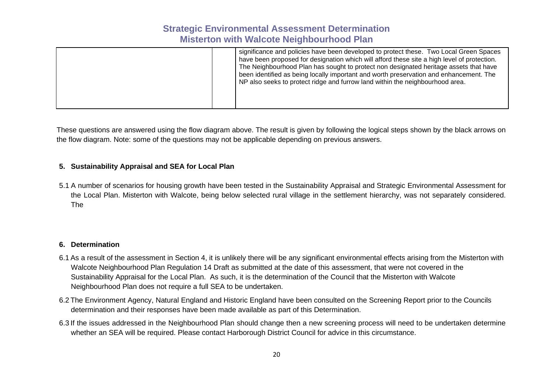|--|

These questions are answered using the flow diagram above. The result is given by following the logical steps shown by the black arrows on the flow diagram. Note: some of the questions may not be applicable depending on previous answers.

#### **5. Sustainability Appraisal and SEA for Local Plan**

5.1 A number of scenarios for housing growth have been tested in the Sustainability Appraisal and Strategic Environmental Assessment for the Local Plan. Misterton with Walcote, being below selected rural village in the settlement hierarchy, was not separately considered. The

#### **6. Determination**

- 6.1 As a result of the assessment in Section 4, it is unlikely there will be any significant environmental effects arising from the Misterton with Walcote Neighbourhood Plan Regulation 14 Draft as submitted at the date of this assessment, that were not covered in the Sustainability Appraisal for the Local Plan. As such, it is the determination of the Council that the Misterton with Walcote Neighbourhood Plan does not require a full SEA to be undertaken.
- 6.2 The Environment Agency, Natural England and Historic England have been consulted on the Screening Report prior to the Councils determination and their responses have been made available as part of this Determination.
- 6.3 If the issues addressed in the Neighbourhood Plan should change then a new screening process will need to be undertaken determine whether an SEA will be required. Please contact Harborough District Council for advice in this circumstance.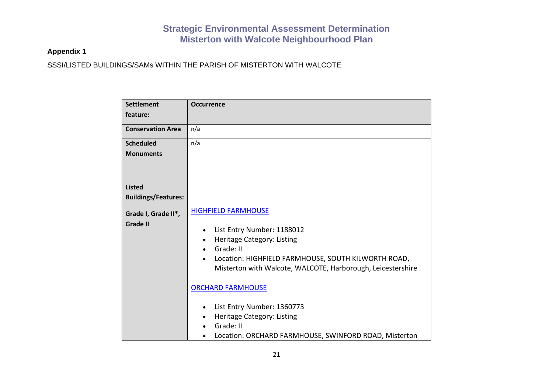### **Appendix 1**

SSSI/LISTED BUILDINGS/SAMs WITHIN THE PARISH OF MISTERTON WITH WALCOTE

| <b>Settlement</b>          | <b>Occurrence</b>                                           |
|----------------------------|-------------------------------------------------------------|
| feature:                   |                                                             |
| <b>Conservation Area</b>   | n/a                                                         |
| <b>Scheduled</b>           | n/a                                                         |
| <b>Monuments</b>           |                                                             |
|                            |                                                             |
| <b>Listed</b>              |                                                             |
| <b>Buildings/Features:</b> |                                                             |
| Grade I, Grade II*,        | <b>HIGHFIELD FARMHOUSE</b>                                  |
| <b>Grade II</b>            | List Entry Number: 1188012<br>$\bullet$                     |
|                            | Heritage Category: Listing                                  |
|                            | Grade: II                                                   |
|                            | Location: HIGHFIELD FARMHOUSE, SOUTH KILWORTH ROAD,         |
|                            | Misterton with Walcote, WALCOTE, Harborough, Leicestershire |
|                            | <b>ORCHARD FARMHOUSE</b>                                    |
|                            | List Entry Number: 1360773                                  |
|                            | Heritage Category: Listing                                  |
|                            | Grade: II                                                   |
|                            | Location: ORCHARD FARMHOUSE, SWINFORD ROAD, Misterton       |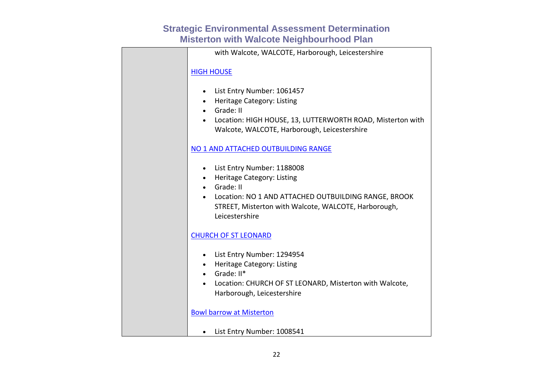| with Walcote, WALCOTE, Harborough, Leicestershire                                                                                                                                                                        |
|--------------------------------------------------------------------------------------------------------------------------------------------------------------------------------------------------------------------------|
| <b>HIGH HOUSE</b>                                                                                                                                                                                                        |
| • List Entry Number: 1061457<br>• Heritage Category: Listing<br>• Grade: II<br>• Location: HIGH HOUSE, 13, LUTTERWORTH ROAD, Misterton with<br>Walcote, WALCOTE, Harborough, Leicestershire                              |
| NO 1 AND ATTACHED OUTBUILDING RANGE                                                                                                                                                                                      |
| • List Entry Number: 1188008<br>• Heritage Category: Listing<br>Grade: II<br>$\bullet$<br>Location: NO 1 AND ATTACHED OUTBUILDING RANGE, BROOK<br>STREET, Misterton with Walcote, WALCOTE, Harborough,<br>Leicestershire |
| <b>CHURCH OF ST LEONARD</b>                                                                                                                                                                                              |
| • List Entry Number: 1294954<br>• Heritage Category: Listing<br>$\bullet$ Grade: $II^*$<br>Location: CHURCH OF ST LEONARD, Misterton with Walcote,<br>Harborough, Leicestershire                                         |
| <b>Bowl barrow at Misterton</b>                                                                                                                                                                                          |
| • List Entry Number: 1008541                                                                                                                                                                                             |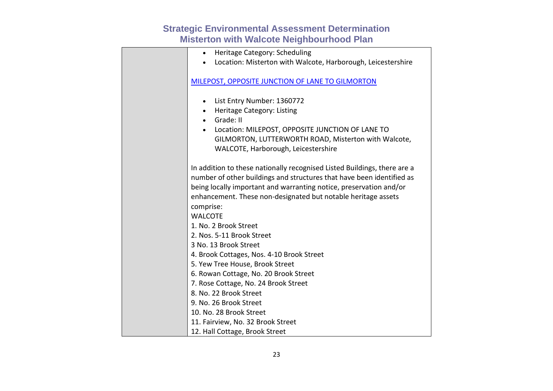| Heritage Category: Scheduling                                            |
|--------------------------------------------------------------------------|
| Location: Misterton with Walcote, Harborough, Leicestershire             |
|                                                                          |
| MILEPOST, OPPOSITE JUNCTION OF LANE TO GILMORTON                         |
|                                                                          |
| List Entry Number: 1360772<br>$\bullet$                                  |
| Heritage Category: Listing<br>$\bullet$                                  |
| Grade: II<br>$\bullet$                                                   |
| Location: MILEPOST, OPPOSITE JUNCTION OF LANE TO                         |
| GILMORTON, LUTTERWORTH ROAD, Misterton with Walcote,                     |
| WALCOTE, Harborough, Leicestershire                                      |
|                                                                          |
| In addition to these nationally recognised Listed Buildings, there are a |
| number of other buildings and structures that have been identified as    |
| being locally important and warranting notice, preservation and/or       |
| enhancement. These non-designated but notable heritage assets            |
| comprise:                                                                |
| <b>WALCOTE</b>                                                           |
| 1. No. 2 Brook Street                                                    |
| 2. Nos. 5-11 Brook Street                                                |
| 3 No. 13 Brook Street                                                    |
| 4. Brook Cottages, Nos. 4-10 Brook Street                                |
| 5. Yew Tree House, Brook Street                                          |
| 6. Rowan Cottage, No. 20 Brook Street                                    |
| 7. Rose Cottage, No. 24 Brook Street                                     |
| 8. No. 22 Brook Street                                                   |
| 9. No. 26 Brook Street                                                   |
| 10. No. 28 Brook Street                                                  |
| 11. Fairview, No. 32 Brook Street                                        |
| 12. Hall Cottage, Brook Street                                           |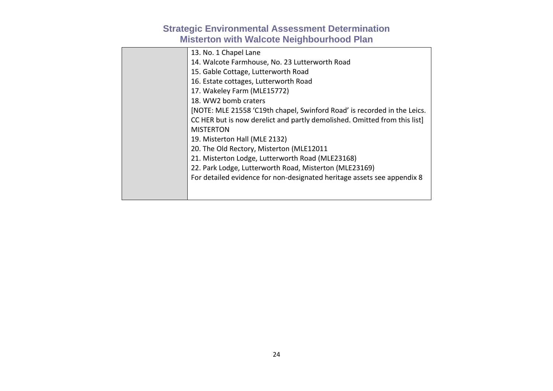| 13. No. 1 Chapel Lane                                                     |
|---------------------------------------------------------------------------|
| 14. Walcote Farmhouse, No. 23 Lutterworth Road                            |
| 15. Gable Cottage, Lutterworth Road                                       |
| 16. Estate cottages, Lutterworth Road                                     |
| 17. Wakeley Farm (MLE15772)                                               |
| 18. WW2 bomb craters                                                      |
| [NOTE: MLE 21558 'C19th chapel, Swinford Road' is recorded in the Leics.  |
| CC HER but is now derelict and partly demolished. Omitted from this list] |
| <b>MISTERTON</b>                                                          |
| 19. Misterton Hall (MLE 2132)                                             |
| 20. The Old Rectory, Misterton (MLE12011                                  |
| 21. Misterton Lodge, Lutterworth Road (MLE23168)                          |
| 22. Park Lodge, Lutterworth Road, Misterton (MLE23169)                    |
| For detailed evidence for non-designated heritage assets see appendix 8   |
|                                                                           |
|                                                                           |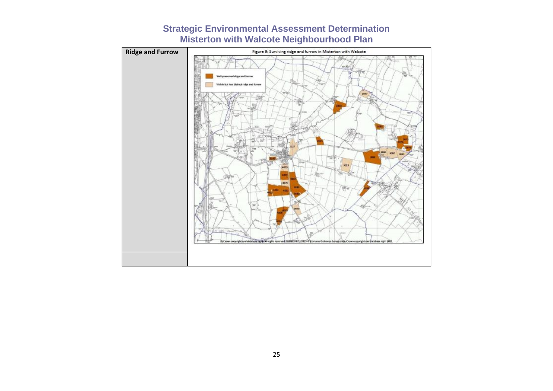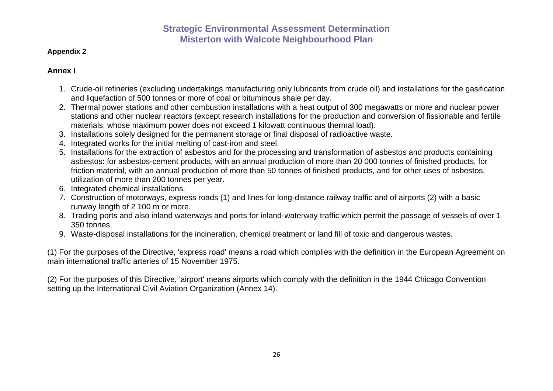#### **Appendix 2**

### **Annex I**

- 1. Crude-oil refineries (excluding undertakings manufacturing only lubricants from crude oil) and installations for the gasification and liquefaction of 500 tonnes or more of coal or bituminous shale per day.
- 2. Thermal power stations and other combustion installations with a heat output of 300 megawatts or more and nuclear power stations and other nuclear reactors (except research installations for the production and conversion of fissionable and fertile materials, whose maximum power does not exceed 1 kilowatt continuous thermal load).
- 3. Installations solely designed for the permanent storage or final disposal of radioactive waste.
- 4. Integrated works for the initial melting of cast-iron and steel.
- 5. Installations for the extraction of asbestos and for the processing and transformation of asbestos and products containing asbestos: for asbestos-cement products, with an annual production of more than 20 000 tonnes of finished products, for friction material, with an annual production of more than 50 tonnes of finished products, and for other uses of asbestos, utilization of more than 200 tonnes per year.
- 6. Integrated chemical installations.
- 7. Construction of motorways, express roads (1) and lines for long-distance railway traffic and of airports (2) with a basic runway length of 2 100 m or more.
- 8. Trading ports and also inland waterways and ports for inland-waterway traffic which permit the passage of vessels of over 1 350 tonnes.
- 9. Waste-disposal installations for the incineration, chemical treatment or land fill of toxic and dangerous wastes.

(1) For the purposes of the Directive, 'express road' means a road which complies with the definition in the European Agreement on main international traffic arteries of 15 November 1975.

(2) For the purposes of this Directive, 'airport' means airports which comply with the definition in the 1944 Chicago Convention setting up the International Civil Aviation Organization (Annex 14).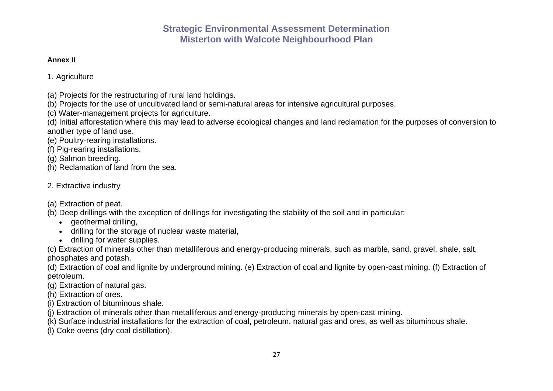#### **Annex II**

1. Agriculture

- (a) Projects for the restructuring of rural land holdings.
- (b) Projects for the use of uncultivated land or semi-natural areas for intensive agricultural purposes.
- (c) Water-management projects for agriculture.

(d) Initial afforestation where this may lead to adverse ecological changes and land reclamation for the purposes of conversion to another type of land use.

(e) Poultry-rearing installations.

(f) Pig-rearing installations.

(g) Salmon breeding.

(h) Reclamation of land from the sea.

### 2. Extractive industry

(a) Extraction of peat.

- (b) Deep drillings with the exception of drillings for investigating the stability of the soil and in particular:
	- geothermal drilling,
	- drilling for the storage of nuclear waste material,
	- drilling for water supplies.

(c) Extraction of minerals other than metalliferous and energy-producing minerals, such as marble, sand, gravel, shale, salt, phosphates and potash.

(d) Extraction of coal and lignite by underground mining. (e) Extraction of coal and lignite by open-cast mining. (f) Extraction of petroleum.

(g) Extraction of natural gas.

(h) Extraction of ores.

- (i) Extraction of bituminous shale.
- (j) Extraction of minerals other than metalliferous and energy-producing minerals by open-cast mining.

(k) Surface industrial installations for the extraction of coal, petroleum, natural gas and ores, as well as bituminous shale.

(l) Coke ovens (dry coal distillation).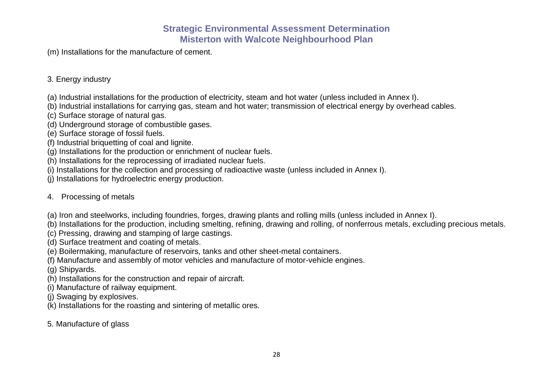(m) Installations for the manufacture of cement.

### 3. Energy industry

- (a) Industrial installations for the production of electricity, steam and hot water (unless included in Annex I).
- (b) Industrial installations for carrying gas, steam and hot water; transmission of electrical energy by overhead cables.
- (c) Surface storage of natural gas.
- (d) Underground storage of combustible gases.
- (e) Surface storage of fossil fuels.
- (f) Industrial briquetting of coal and lignite.
- (g) Installations for the production or enrichment of nuclear fuels.
- (h) Installations for the reprocessing of irradiated nuclear fuels.
- (i) Installations for the collection and processing of radioactive waste (unless included in Annex I).
- (j) Installations for hydroelectric energy production.

### 4. Processing of metals

- (a) Iron and steelworks, including foundries, forges, drawing plants and rolling mills (unless included in Annex I).
- (b) Installations for the production, including smelting, refining, drawing and rolling, of nonferrous metals, excluding precious metals.
- (c) Pressing, drawing and stamping of large castings.
- (d) Surface treatment and coating of metals.
- (e) Boilermaking, manufacture of reservoirs, tanks and other sheet-metal containers.
- (f) Manufacture and assembly of motor vehicles and manufacture of motor-vehicle engines.
- (g) Shipyards.
- (h) Installations for the construction and repair of aircraft.
- (i) Manufacture of railway equipment.
- (j) Swaging by explosives.
- (k) Installations for the roasting and sintering of metallic ores.
- 5. Manufacture of glass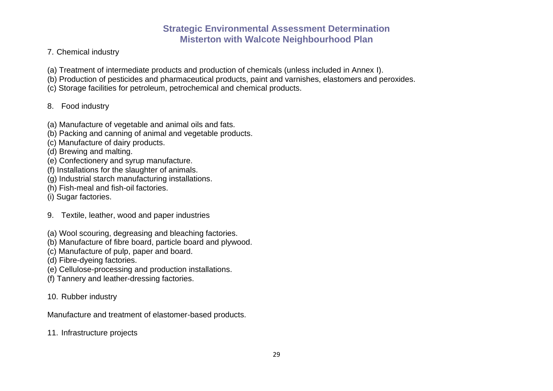- 7. Chemical industry
- (a) Treatment of intermediate products and production of chemicals (unless included in Annex I).
- (b) Production of pesticides and pharmaceutical products, paint and varnishes, elastomers and peroxides.
- (c) Storage facilities for petroleum, petrochemical and chemical products.

### 8. Food industry

- (a) Manufacture of vegetable and animal oils and fats.
- (b) Packing and canning of animal and vegetable products.
- (c) Manufacture of dairy products.
- (d) Brewing and malting.
- (e) Confectionery and syrup manufacture.
- (f) Installations for the slaughter of animals.
- (g) Industrial starch manufacturing installations.
- (h) Fish-meal and fish-oil factories.
- (i) Sugar factories.
- 9. Textile, leather, wood and paper industries
- (a) Wool scouring, degreasing and bleaching factories.
- (b) Manufacture of fibre board, particle board and plywood.
- (c) Manufacture of pulp, paper and board.
- (d) Fibre-dyeing factories.
- (e) Cellulose-processing and production installations.
- (f) Tannery and leather-dressing factories.
- 10. Rubber industry
- Manufacture and treatment of elastomer-based products.
- 11. Infrastructure projects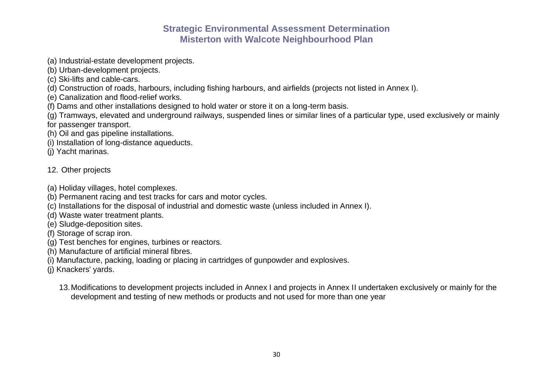- (a) Industrial-estate development projects.
- (b) Urban-development projects.
- (c) Ski-lifts and cable-cars.
- (d) Construction of roads, harbours, including fishing harbours, and airfields (projects not listed in Annex I).
- (e) Canalization and flood-relief works.
- (f) Dams and other installations designed to hold water or store it on a long-term basis.
- (g) Tramways, elevated and underground railways, suspended lines or similar lines of a particular type, used exclusively or mainly for passenger transport.
- (h) Oil and gas pipeline installations.
- (i) Installation of long-distance aqueducts.
- (j) Yacht marinas.

### 12. Other projects

- (a) Holiday villages, hotel complexes.
- (b) Permanent racing and test tracks for cars and motor cycles.
- (c) Installations for the disposal of industrial and domestic waste (unless included in Annex I).
- (d) Waste water treatment plants.
- (e) Sludge-deposition sites.
- (f) Storage of scrap iron.
- (g) Test benches for engines, turbines or reactors.
- (h) Manufacture of artificial mineral fibres.
- (i) Manufacture, packing, loading or placing in cartridges of gunpowder and explosives.
- (j) Knackers' yards.
	- 13.Modifications to development projects included in Annex I and projects in Annex II undertaken exclusively or mainly for the development and testing of new methods or products and not used for more than one year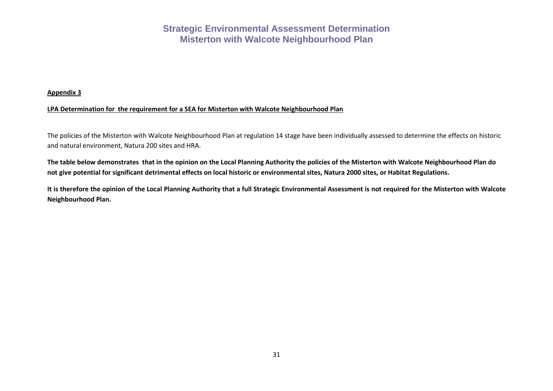#### **Appendix 3**

#### **LPA Determination for the requirement for a SEA for Misterton with Walcote Neighbourhood Plan**

The policies of the Misterton with Walcote Neighbourhood Plan at regulation 14 stage have been individually assessed to determine the effects on historic and natural environment, Natura 200 sites and HRA.

**The table below demonstrates that in the opinion on the Local Planning Authority the policies of the Misterton with Walcote Neighbourhood Plan do not give potential for significant detrimental effects on local historic or environmental sites, Natura 2000 sites, or Habitat Regulations.**

**It is therefore the opinion of the Local Planning Authority that a full Strategic Environmental Assessment is not required for the Misterton with Walcote Neighbourhood Plan.**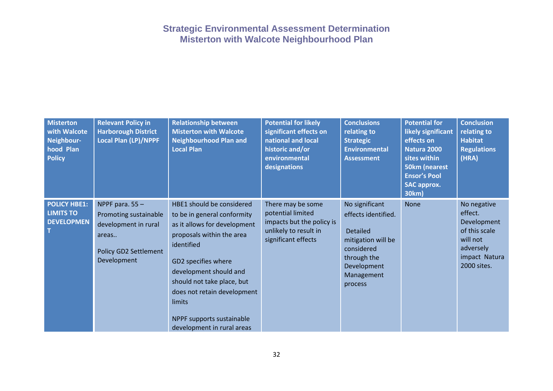| <b>Misterton</b><br>with Walcote<br>Neighbour-<br>hood Plan<br><b>Policy</b> | <b>Relevant Policy in</b><br><b>Harborough District</b><br><b>Local Plan (LP)/NPPF</b>                              | <b>Relationship between</b><br><b>Misterton with Walcote</b><br><b>Neighbourhood Plan and</b><br><b>Local Plan</b>                                                                                                                                                                                                     | <b>Potential for likely</b><br>significant effects on<br>national and local<br>historic and/or<br>environmental<br>designations | <b>Conclusions</b><br>relating to<br><b>Strategic</b><br><b>Environmental</b><br><b>Assessment</b>                                                  | <b>Potential for</b><br>likely significant<br>effects on<br>Natura 2000<br>sites within<br>50km (nearest<br><b>Ensor's Pool</b><br><b>SAC approx.</b><br>30km) | <b>Conclusion</b><br>relating to<br><b>Habitat</b><br><b>Regulations</b><br>(HRA)                               |
|------------------------------------------------------------------------------|---------------------------------------------------------------------------------------------------------------------|------------------------------------------------------------------------------------------------------------------------------------------------------------------------------------------------------------------------------------------------------------------------------------------------------------------------|---------------------------------------------------------------------------------------------------------------------------------|-----------------------------------------------------------------------------------------------------------------------------------------------------|----------------------------------------------------------------------------------------------------------------------------------------------------------------|-----------------------------------------------------------------------------------------------------------------|
| <b>POLICY HBE1:</b><br><b>LIMITS TO</b><br><b>DEVELOPMEN</b>                 | NPPF para. $55 -$<br>Promoting sustainable<br>development in rural<br>areas<br>Policy GD2 Settlement<br>Development | HBE1 should be considered<br>to be in general conformity<br>as it allows for development<br>proposals within the area<br>identified<br>GD2 specifies where<br>development should and<br>should not take place, but<br>does not retain development<br>limits<br>NPPF supports sustainable<br>development in rural areas | There may be some<br>potential limited<br>impacts but the policy is<br>unlikely to result in<br>significant effects             | No significant<br>effects identified.<br><b>Detailed</b><br>mitigation will be<br>considered<br>through the<br>Development<br>Management<br>process | <b>None</b>                                                                                                                                                    | No negative<br>effect.<br>Development<br>of this scale<br>will not<br>adversely<br>impact Natura<br>2000 sites. |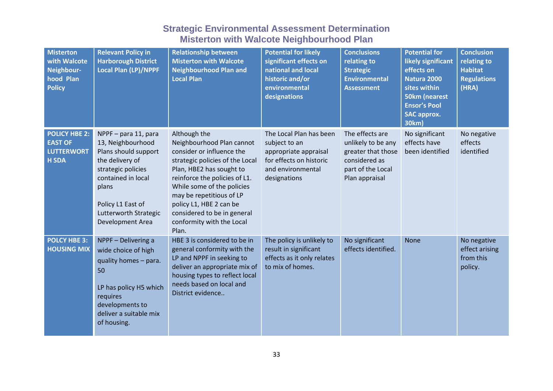| <b>Misterton</b><br>with Walcote<br>Neighbour-<br>hood Plan<br><b>Policy</b> | <b>Relevant Policy in</b><br><b>Harborough District</b><br><b>Local Plan (LP)/NPPF</b>                                                                                                                      | <b>Relationship between</b><br><b>Misterton with Walcote</b><br><b>Neighbourhood Plan and</b><br><b>Local Plan</b>                                                                                                                                                                                                               | <b>Potential for likely</b><br>significant effects on<br>national and local<br>historic and/or<br>environmental<br>designations   | <b>Conclusions</b><br>relating to<br><b>Strategic</b><br><b>Environmental</b><br><b>Assessment</b>                  | <b>Potential for</b><br>likely significant<br>effects on<br>Natura 2000<br>sites within<br><b>50km (nearest</b><br><b>Ensor's Pool</b><br><b>SAC approx.</b><br>30km) | <b>Conclusion</b><br>relating to<br><b>Habitat</b><br><b>Regulations</b><br>(HRA) |
|------------------------------------------------------------------------------|-------------------------------------------------------------------------------------------------------------------------------------------------------------------------------------------------------------|----------------------------------------------------------------------------------------------------------------------------------------------------------------------------------------------------------------------------------------------------------------------------------------------------------------------------------|-----------------------------------------------------------------------------------------------------------------------------------|---------------------------------------------------------------------------------------------------------------------|-----------------------------------------------------------------------------------------------------------------------------------------------------------------------|-----------------------------------------------------------------------------------|
| <b>POLICY HBE 2:</b><br><b>EAST OF</b><br><b>LUTTERWORT</b><br><b>H SDA</b>  | NPPF - para 11, para<br>13, Neighbourhood<br>Plans should support<br>the delivery of<br>strategic policies<br>contained in local<br>plans<br>Policy L1 East of<br>Lutterworth Strategic<br>Development Area | Although the<br>Neighbourhood Plan cannot<br>consider or influence the<br>strategic policies of the Local<br>Plan, HBE2 has sought to<br>reinforce the policies of L1.<br>While some of the policies<br>may be repetitious of LP<br>policy L1, HBE 2 can be<br>considered to be in general<br>conformity with the Local<br>Plan. | The Local Plan has been<br>subject to an<br>appropriate appraisal<br>for effects on historic<br>and environmental<br>designations | The effects are<br>unlikely to be any<br>greater that those<br>considered as<br>part of the Local<br>Plan appraisal | No significant<br>effects have<br>been identified                                                                                                                     | No negative<br>effects<br>identified                                              |
| <b>POLCY HBE 3:</b><br><b>HOUSING MIX</b>                                    | NPPF - Delivering a<br>wide choice of high<br>quality homes - para.<br>50<br>LP has policy H5 which<br>requires<br>developments to<br>deliver a suitable mix<br>of housing.                                 | HBE 3 is considered to be in<br>general conformity with the<br>LP and NPPF in seeking to<br>deliver an appropriate mix of<br>housing types to reflect local<br>needs based on local and<br>District evidence                                                                                                                     | The policy is unlikely to<br>result in significant<br>effects as it only relates<br>to mix of homes.                              | No significant<br>effects identified.                                                                               | <b>None</b>                                                                                                                                                           | No negative<br>effect arising<br>from this<br>policy.                             |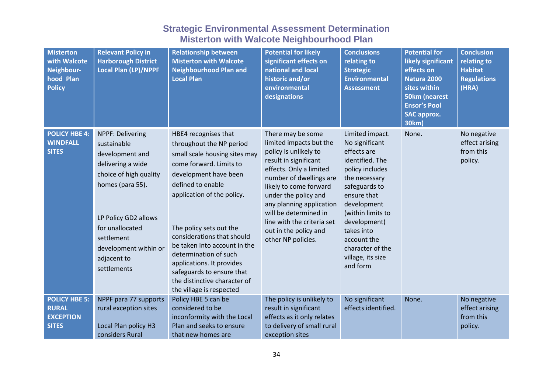| <b>Misterton</b><br>with Walcote<br>Neighbour-<br>hood Plan<br><b>Policy</b> | <b>Relevant Policy in</b><br><b>Harborough District</b><br><b>Local Plan (LP)/NPPF</b>                                                                                                                                                | <b>Relationship between</b><br><b>Misterton with Walcote</b><br><b>Neighbourhood Plan and</b><br><b>Local Plan</b>                                                                                                                                                                                                                                                                                                               | <b>Potential for likely</b><br>significant effects on<br>national and local<br>historic and/or<br>environmental<br>designations                                                                                                                                                                                                          | <b>Conclusions</b><br>relating to<br><b>Strategic</b><br><b>Environmental</b><br><b>Assessment</b>                                                                                                                                                                            | <b>Potential for</b><br>likely significant<br>effects on<br>Natura 2000<br>sites within<br><b>50km (nearest</b><br><b>Ensor's Pool</b><br><b>SAC approx.</b><br>30km) | <b>Conclusion</b><br>relating to<br><b>Habitat</b><br><b>Regulations</b><br>(HRA) |
|------------------------------------------------------------------------------|---------------------------------------------------------------------------------------------------------------------------------------------------------------------------------------------------------------------------------------|----------------------------------------------------------------------------------------------------------------------------------------------------------------------------------------------------------------------------------------------------------------------------------------------------------------------------------------------------------------------------------------------------------------------------------|------------------------------------------------------------------------------------------------------------------------------------------------------------------------------------------------------------------------------------------------------------------------------------------------------------------------------------------|-------------------------------------------------------------------------------------------------------------------------------------------------------------------------------------------------------------------------------------------------------------------------------|-----------------------------------------------------------------------------------------------------------------------------------------------------------------------|-----------------------------------------------------------------------------------|
| <b>POLICY HBE 4:</b><br><b>WINDFALL</b><br><b>SITES</b>                      | NPPF: Delivering<br>sustainable<br>development and<br>delivering a wide<br>choice of high quality<br>homes (para 55).<br>LP Policy GD2 allows<br>for unallocated<br>settlement<br>development within or<br>adjacent to<br>settlements | HBE4 recognises that<br>throughout the NP period<br>small scale housing sites may<br>come forward. Limits to<br>development have been<br>defined to enable<br>application of the policy.<br>The policy sets out the<br>considerations that should<br>be taken into account in the<br>determination of such<br>applications. It provides<br>safeguards to ensure that<br>the distinctive character of<br>the village is respected | There may be some<br>limited impacts but the<br>policy is unlikely to<br>result in significant<br>effects. Only a limited<br>number of dwellings are<br>likely to come forward<br>under the policy and<br>any planning application<br>will be determined in<br>line with the criteria set<br>out in the policy and<br>other NP policies. | Limited impact.<br>No significant<br>effects are<br>identified. The<br>policy includes<br>the necessary<br>safeguards to<br>ensure that<br>development<br>(within limits to<br>development)<br>takes into<br>account the<br>character of the<br>village, its size<br>and form | None.                                                                                                                                                                 | No negative<br>effect arising<br>from this<br>policy.                             |
| <b>POLICY HBE 5:</b><br><b>RURAL</b><br><b>EXCEPTION</b><br><b>SITES</b>     | NPPF para 77 supports<br>rural exception sites<br>Local Plan policy H3<br>considers Rural                                                                                                                                             | Policy HBE 5 can be<br>considered to be<br>inconformity with the Local<br>Plan and seeks to ensure<br>that new homes are                                                                                                                                                                                                                                                                                                         | The policy is unlikely to<br>result in significant<br>effects as it only relates<br>to delivery of small rural<br>exception sites                                                                                                                                                                                                        | No significant<br>effects identified.                                                                                                                                                                                                                                         | None.                                                                                                                                                                 | No negative<br>effect arising<br>from this<br>policy.                             |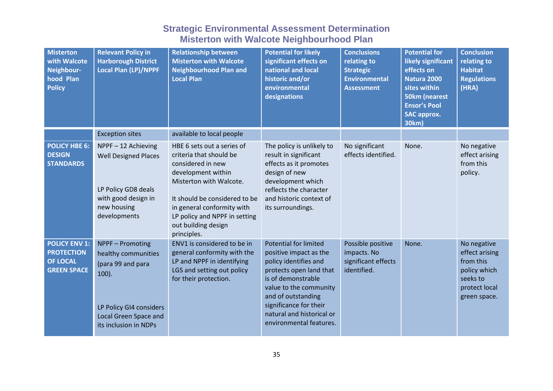| <b>Misterton</b><br>with Walcote<br>Neighbour-<br>hood Plan<br><b>Policy</b>       | <b>Relevant Policy in</b><br><b>Harborough District</b><br><b>Local Plan (LP)/NPPF</b>                                                                       | <b>Relationship between</b><br><b>Misterton with Walcote</b><br><b>Neighbourhood Plan and</b><br><b>Local Plan</b>                                                                                                                                                | <b>Potential for likely</b><br>significant effects on<br>national and local<br>historic and/or<br>environmental<br>designations                                                                                                                                    | <b>Conclusions</b><br>relating to<br><b>Strategic</b><br><b>Environmental</b><br><b>Assessment</b> | <b>Potential for</b><br>likely significant<br>effects on<br>Natura 2000<br>sites within<br><b>50km (nearest</b><br><b>Ensor's Pool</b><br><b>SAC approx.</b><br><b>30km)</b> | <b>Conclusion</b><br>relating to<br><b>Habitat</b><br><b>Regulations</b><br>(HRA)                       |
|------------------------------------------------------------------------------------|--------------------------------------------------------------------------------------------------------------------------------------------------------------|-------------------------------------------------------------------------------------------------------------------------------------------------------------------------------------------------------------------------------------------------------------------|--------------------------------------------------------------------------------------------------------------------------------------------------------------------------------------------------------------------------------------------------------------------|----------------------------------------------------------------------------------------------------|------------------------------------------------------------------------------------------------------------------------------------------------------------------------------|---------------------------------------------------------------------------------------------------------|
|                                                                                    | <b>Exception sites</b>                                                                                                                                       | available to local people                                                                                                                                                                                                                                         |                                                                                                                                                                                                                                                                    |                                                                                                    |                                                                                                                                                                              |                                                                                                         |
| <b>POLICY HBE 6:</b><br><b>DESIGN</b><br><b>STANDARDS</b>                          | NPPF-12 Achieving<br><b>Well Designed Places</b><br>LP Policy GD8 deals<br>with good design in<br>new housing<br>developments                                | HBE 6 sets out a series of<br>criteria that should be<br>considered in new<br>development within<br>Misterton with Walcote.<br>It should be considered to be<br>in general conformity with<br>LP policy and NPPF in setting<br>out building design<br>principles. | The policy is unlikely to<br>result in significant<br>effects as it promotes<br>design of new<br>development which<br>reflects the character<br>and historic context of<br>its surroundings.                                                                       | No significant<br>effects identified.                                                              | None.                                                                                                                                                                        | No negative<br>effect arising<br>from this<br>policy.                                                   |
| <b>POLICY ENV 1:</b><br><b>PROTECTION</b><br><b>OF LOCAL</b><br><b>GREEN SPACE</b> | NPPF - Promoting<br>healthy communities<br>(para 99 and para<br>$100$ ).<br>LP Policy GI4 considers<br><b>Local Green Space and</b><br>its inclusion in NDPs | ENV1 is considered to be in<br>general conformity with the<br>LP and NPPF in identifying<br>LGS and setting out policy<br>for their protection.                                                                                                                   | <b>Potential for limited</b><br>positive impact as the<br>policy identifies and<br>protects open land that<br>is of demonstrable<br>value to the community<br>and of outstanding<br>significance for their<br>natural and historical or<br>environmental features. | Possible positive<br>impacts. No<br>significant effects<br>identified.                             | None.                                                                                                                                                                        | No negative<br>effect arising<br>from this<br>policy which<br>seeks to<br>protect local<br>green space. |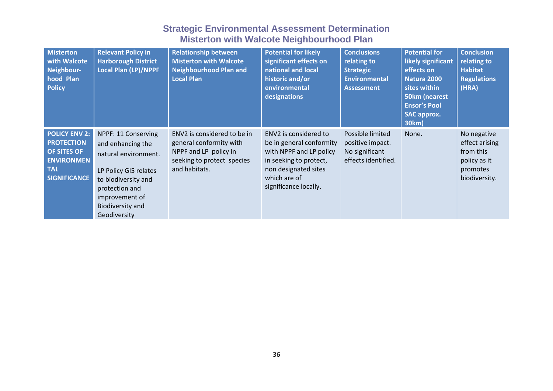| <b>Misterton</b><br>with Walcote<br>Neighbour-<br>hood Plan<br><b>Policy</b>                                       | <b>Relevant Policy in</b><br><b>Harborough District</b><br><b>Local Plan (LP)/NPPF</b>                                                                                                          | <b>Relationship between</b><br><b>Misterton with Walcote</b><br><b>Neighbourhood Plan and</b><br><b>Local Plan</b>             | <b>Potential for likely</b><br>significant effects on<br>national and local<br>historic and/or<br>environmental<br>designations                                         | <b>Conclusions</b><br>relating to<br><b>Strategic</b><br><b>Environmental</b><br><b>Assessment</b> | <b>Potential for</b><br>likely significant<br>effects on<br>Natura 2000<br>sites within<br>50km (nearest<br><b>Ensor's Pool</b><br><b>SAC approx.</b><br>30km) | <b>Conclusion</b><br>relating to<br><b>Habitat</b><br><b>Regulations</b><br>(HRA)       |
|--------------------------------------------------------------------------------------------------------------------|-------------------------------------------------------------------------------------------------------------------------------------------------------------------------------------------------|--------------------------------------------------------------------------------------------------------------------------------|-------------------------------------------------------------------------------------------------------------------------------------------------------------------------|----------------------------------------------------------------------------------------------------|----------------------------------------------------------------------------------------------------------------------------------------------------------------|-----------------------------------------------------------------------------------------|
| <b>POLICY ENV 2:</b><br><b>PROTECTION</b><br>OF SITES OF<br><b>ENVIRONMEN</b><br><b>TAL</b><br><b>SIGNIFICANCE</b> | NPPF: 11 Conserving<br>and enhancing the<br>natural environment.<br>LP Policy GI5 relates<br>to biodiversity and<br>protection and<br>improvement of<br><b>Biodiversity and</b><br>Geodiversity | ENV2 is considered to be in<br>general conformity with<br>NPPF and LP policy in<br>seeking to protect species<br>and habitats. | ENV2 is considered to<br>be in general conformity<br>with NPPF and LP policy<br>in seeking to protect,<br>non designated sites<br>which are of<br>significance locally. | Possible limited<br>positive impact.<br>No significant<br>effects identified.                      | None.                                                                                                                                                          | No negative<br>effect arising<br>from this<br>policy as it<br>promotes<br>biodiversity. |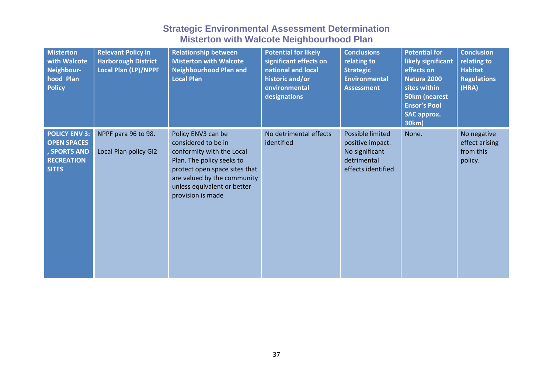| <b>Misterton</b><br>with Walcote<br>Neighbour-<br>hood Plan<br><b>Policy</b>                    | <b>Relevant Policy in</b><br><b>Harborough District</b><br><b>Local Plan (LP)/NPPF</b> | <b>Relationship between</b><br><b>Misterton with Walcote</b><br><b>Neighbourhood Plan and</b><br><b>Local Plan</b>                                                                                                      | <b>Potential for likely</b><br>significant effects on<br>national and local<br>historic and/or<br>environmental<br>designations | <b>Conclusions</b><br>relating to<br><b>Strategic</b><br><b>Environmental</b><br><b>Assessment</b> | <b>Potential for</b><br>likely significant<br>effects on<br>Natura 2000<br>sites within<br>50km (nearest<br><b>Ensor's Pool</b><br><b>SAC approx.</b><br>30km) | <b>Conclusion</b><br>relating to<br><b>Habitat</b><br><b>Regulations</b><br>(HRA) |
|-------------------------------------------------------------------------------------------------|----------------------------------------------------------------------------------------|-------------------------------------------------------------------------------------------------------------------------------------------------------------------------------------------------------------------------|---------------------------------------------------------------------------------------------------------------------------------|----------------------------------------------------------------------------------------------------|----------------------------------------------------------------------------------------------------------------------------------------------------------------|-----------------------------------------------------------------------------------|
| <b>POLICY ENV 3:</b><br><b>OPEN SPACES</b><br>, SPORTS AND<br><b>RECREATION</b><br><b>SITES</b> | NPPF para 96 to 98.<br>Local Plan policy GI2                                           | Policy ENV3 can be<br>considered to be in<br>conformity with the Local<br>Plan. The policy seeks to<br>protect open space sites that<br>are valued by the community<br>unless equivalent or better<br>provision is made | No detrimental effects<br>identified                                                                                            | Possible limited<br>positive impact.<br>No significant<br>detrimental<br>effects identified.       | None.                                                                                                                                                          | No negative<br>effect arising<br>from this<br>policy.                             |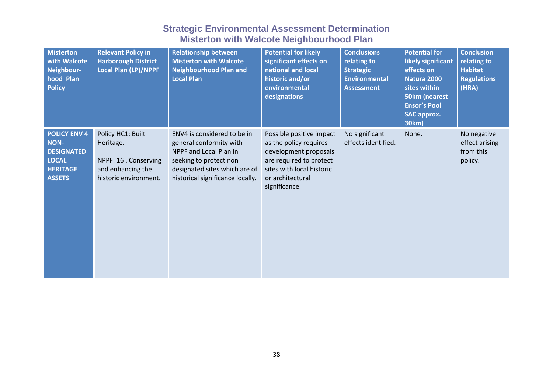| <b>Misterton</b><br>with Walcote<br>Neighbour-<br>hood Plan<br><b>Policy</b>                                | <b>Relevant Policy in</b><br><b>Harborough District</b><br><b>Local Plan (LP)/NPPF</b>                | <b>Relationship between</b><br><b>Misterton with Walcote</b><br><b>Neighbourhood Plan and</b><br><b>Local Plan</b>                                                              | <b>Potential for likely</b><br>significant effects on<br>national and local<br>historic and/or<br>environmental<br>designations                                          | <b>Conclusions</b><br>relating to<br><b>Strategic</b><br><b>Environmental</b><br><b>Assessment</b> | <b>Potential for</b><br>likely significant<br>effects on<br>Natura 2000<br>sites within<br>50km (nearest<br><b>Ensor's Pool</b><br><b>SAC approx.</b><br>30km) | <b>Conclusion</b><br>relating to<br><b>Habitat</b><br><b>Regulations</b><br>(HRA) |
|-------------------------------------------------------------------------------------------------------------|-------------------------------------------------------------------------------------------------------|---------------------------------------------------------------------------------------------------------------------------------------------------------------------------------|--------------------------------------------------------------------------------------------------------------------------------------------------------------------------|----------------------------------------------------------------------------------------------------|----------------------------------------------------------------------------------------------------------------------------------------------------------------|-----------------------------------------------------------------------------------|
| <b>POLICY ENV 4</b><br><b>NON-</b><br><b>DESIGNATED</b><br><b>LOCAL</b><br><b>HERITAGE</b><br><b>ASSETS</b> | Policy HC1: Built<br>Heritage.<br>NPPF: 16 . Conserving<br>and enhancing the<br>historic environment. | ENV4 is considered to be in<br>general conformity with<br>NPPF and Local Plan in<br>seeking to protect non<br>designated sites which are of<br>historical significance locally. | Possible positive impact<br>as the policy requires<br>development proposals<br>are required to protect<br>sites with local historic<br>or architectural<br>significance. | No significant<br>effects identified.                                                              | None.                                                                                                                                                          | No negative<br>effect arising<br>from this<br>policy.                             |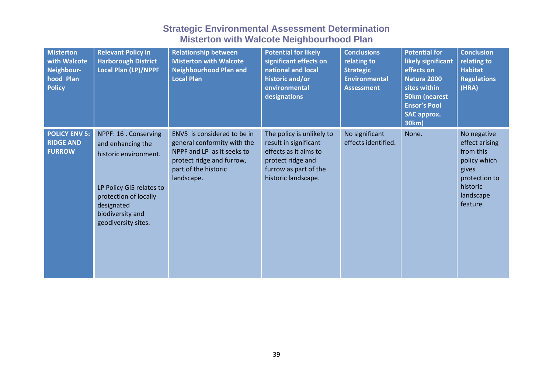| <b>Misterton</b><br>with Walcote<br>Neighbour-<br>hood Plan<br><b>Policy</b> | <b>Relevant Policy in</b><br><b>Harborough District</b><br><b>Local Plan (LP)/NPPF</b>                                                                                            | <b>Relationship between</b><br><b>Misterton with Walcote</b><br><b>Neighbourhood Plan and</b><br><b>Local Plan</b>                                          | <b>Potential for likely</b><br>significant effects on<br>national and local<br>historic and/or<br>environmental<br>designations                  | <b>Conclusions</b><br>relating to<br><b>Strategic</b><br><b>Environmental</b><br><b>Assessment</b> | <b>Potential for</b><br>likely significant<br>effects on<br>Natura 2000<br>sites within<br><b>50km (nearest</b><br><b>Ensor's Pool</b><br><b>SAC approx.</b><br>30km) | <b>Conclusion</b><br>relating to<br><b>Habitat</b><br><b>Regulations</b><br>(HRA)                                         |
|------------------------------------------------------------------------------|-----------------------------------------------------------------------------------------------------------------------------------------------------------------------------------|-------------------------------------------------------------------------------------------------------------------------------------------------------------|--------------------------------------------------------------------------------------------------------------------------------------------------|----------------------------------------------------------------------------------------------------|-----------------------------------------------------------------------------------------------------------------------------------------------------------------------|---------------------------------------------------------------------------------------------------------------------------|
| <b>POLICY ENV 5:</b><br><b>RIDGE AND</b><br><b>FURROW</b>                    | NPPF: 16 . Conserving<br>and enhancing the<br>historic environment.<br>LP Policy GI5 relates to<br>protection of locally<br>designated<br>biodiversity and<br>geodiversity sites. | ENV5 is considered to be in<br>general conformity with the<br>NPPF and LP as it seeks to<br>protect ridge and furrow,<br>part of the historic<br>landscape. | The policy is unlikely to<br>result in significant<br>effects as it aims to<br>protect ridge and<br>furrow as part of the<br>historic landscape. | No significant<br>effects identified.                                                              | None.                                                                                                                                                                 | No negative<br>effect arising<br>from this<br>policy which<br>gives<br>protection to<br>historic<br>landscape<br>feature. |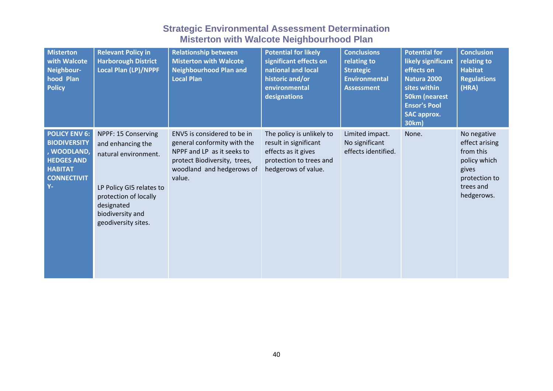| <b>Misterton</b><br>with Walcote<br>Neighbour-<br>hood Plan<br><b>Policy</b>                                                     | <b>Relevant Policy in</b><br><b>Harborough District</b><br><b>Local Plan (LP)/NPPF</b>                                                                                         | <b>Relationship between</b><br><b>Misterton with Walcote</b><br><b>Neighbourhood Plan and</b><br><b>Local Plan</b>                                              | <b>Potential for likely</b><br>significant effects on<br>national and local<br>historic and/or<br>environmental<br>designations | <b>Conclusions</b><br>relating to<br><b>Strategic</b><br><b>Environmental</b><br><b>Assessment</b> | <b>Potential for</b><br>likely significant<br>effects on<br><b>Natura 2000</b><br>sites within<br><b>50km (nearest</b><br><b>Ensor's Pool</b><br><b>SAC approx.</b><br>30km) | <b>Conclusion</b><br>relating to<br><b>Habitat</b><br><b>Regulations</b><br>(HRA)                               |
|----------------------------------------------------------------------------------------------------------------------------------|--------------------------------------------------------------------------------------------------------------------------------------------------------------------------------|-----------------------------------------------------------------------------------------------------------------------------------------------------------------|---------------------------------------------------------------------------------------------------------------------------------|----------------------------------------------------------------------------------------------------|------------------------------------------------------------------------------------------------------------------------------------------------------------------------------|-----------------------------------------------------------------------------------------------------------------|
| <b>POLICY ENV 6:</b><br><b>BIODIVERSITY</b><br>, WOODLAND,<br><b>HEDGES AND</b><br><b>HABITAT</b><br><b>CONNECTIVIT</b><br>$Y -$ | NPPF: 15 Conserving<br>and enhancing the<br>natural environment.<br>LP Policy GI5 relates to<br>protection of locally<br>designated<br>biodiversity and<br>geodiversity sites. | ENV5 is considered to be in<br>general conformity with the<br>NPPF and LP as it seeks to<br>protect Biodiversity, trees,<br>woodland and hedgerows of<br>value. | The policy is unlikely to<br>result in significant<br>effects as it gives<br>protection to trees and<br>hedgerows of value.     | Limited impact.<br>No significant<br>effects identified.                                           | None.                                                                                                                                                                        | No negative<br>effect arising<br>from this<br>policy which<br>gives<br>protection to<br>trees and<br>hedgerows. |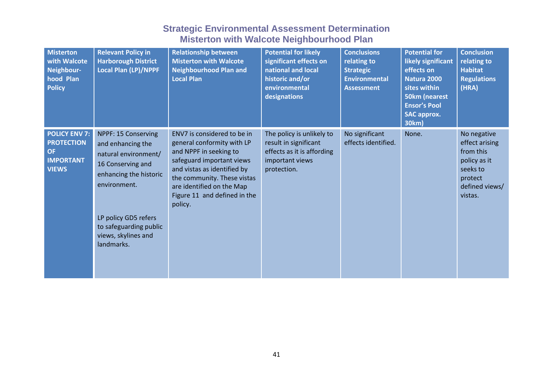| <b>Misterton</b><br>with Walcote<br>Neighbour-<br>hood Plan<br><b>Policy</b>               | <b>Relevant Policy in</b><br><b>Harborough District</b><br>Local Plan (LP)/NPPF                                                 | <b>Relationship between</b><br><b>Misterton with Walcote</b><br><b>Neighbourhood Plan and</b><br><b>Local Plan</b>                                                                                                                                     | <b>Potential for likely</b><br>significant effects on<br>national and local<br>historic and/or<br>environmental<br>designations | <b>Conclusions</b><br>relating to<br><b>Strategic</b><br><b>Environmental</b><br><b>Assessment</b> | <b>Potential for</b><br>likely significant<br>effects on<br>Natura 2000<br>sites within<br><b>50km</b> (nearest<br><b>Ensor's Pool</b><br><b>SAC approx.</b><br>30km) | <b>Conclusion</b><br>relating to<br><b>Habitat</b><br><b>Regulations</b><br>(HRA)                              |
|--------------------------------------------------------------------------------------------|---------------------------------------------------------------------------------------------------------------------------------|--------------------------------------------------------------------------------------------------------------------------------------------------------------------------------------------------------------------------------------------------------|---------------------------------------------------------------------------------------------------------------------------------|----------------------------------------------------------------------------------------------------|-----------------------------------------------------------------------------------------------------------------------------------------------------------------------|----------------------------------------------------------------------------------------------------------------|
| <b>POLICY ENV 7:</b><br><b>PROTECTION</b><br><b>OF</b><br><b>IMPORTANT</b><br><b>VIEWS</b> | NPPF: 15 Conserving<br>and enhancing the<br>natural environment/<br>16 Conserving and<br>enhancing the historic<br>environment. | ENV7 is considered to be in<br>general conformity with LP<br>and NPPF in seeking to<br>safeguard important views<br>and vistas as identified by<br>the community. These vistas<br>are identified on the Map<br>Figure 11 and defined in the<br>policy. | The policy is unlikely to<br>result in significant<br>effects as it is affording<br>important views<br>protection.              | No significant<br>effects identified.                                                              | None.                                                                                                                                                                 | No negative<br>effect arising<br>from this<br>policy as it<br>seeks to<br>protect<br>defined views/<br>vistas. |
|                                                                                            | LP policy GD5 refers<br>to safeguarding public<br>views, skylines and<br>landmarks.                                             |                                                                                                                                                                                                                                                        |                                                                                                                                 |                                                                                                    |                                                                                                                                                                       |                                                                                                                |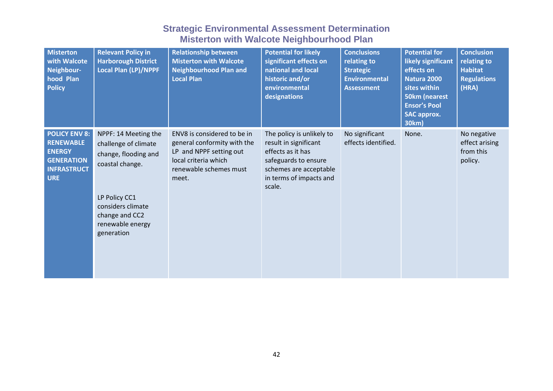| <b>Misterton</b><br>with Walcote<br>Neighbour-<br>hood Plan<br><b>Policy</b>                                       | <b>Relevant Policy in</b><br><b>Harborough District</b><br><b>Local Plan (LP)/NPPF</b>                                                                                            | <b>Relationship between</b><br><b>Misterton with Walcote</b><br><b>Neighbourhood Plan and</b><br><b>Local Plan</b>                               | <b>Potential for likely</b><br>significant effects on<br>national and local<br>historic and/or<br>environmental<br>designations                                | <b>Conclusions</b><br>relating to<br><b>Strategic</b><br><b>Environmental</b><br><b>Assessment</b> | <b>Potential for</b><br>likely significant<br>effects on<br>Natura 2000<br>sites within<br><b>50km (nearest</b><br><b>Ensor's Pool</b><br><b>SAC approx.</b><br>30km) | <b>Conclusion</b><br>relating to<br><b>Habitat</b><br><b>Regulations</b><br>(HRA) |
|--------------------------------------------------------------------------------------------------------------------|-----------------------------------------------------------------------------------------------------------------------------------------------------------------------------------|--------------------------------------------------------------------------------------------------------------------------------------------------|----------------------------------------------------------------------------------------------------------------------------------------------------------------|----------------------------------------------------------------------------------------------------|-----------------------------------------------------------------------------------------------------------------------------------------------------------------------|-----------------------------------------------------------------------------------|
| <b>POLICY ENV 8:</b><br><b>RENEWABLE</b><br><b>ENERGY</b><br><b>GENERATION</b><br><b>INFRASTRUCT</b><br><b>URE</b> | NPPF: 14 Meeting the<br>challenge of climate<br>change, flooding and<br>coastal change.<br>LP Policy CC1<br>considers climate<br>change and CC2<br>renewable energy<br>generation | ENV8 is considered to be in<br>general conformity with the<br>LP and NPPF setting out<br>local criteria which<br>renewable schemes must<br>meet. | The policy is unlikely to<br>result in significant<br>effects as it has<br>safeguards to ensure<br>schemes are acceptable<br>in terms of impacts and<br>scale. | No significant<br>effects identified.                                                              | None.                                                                                                                                                                 | No negative<br>effect arising<br>from this<br>policy.                             |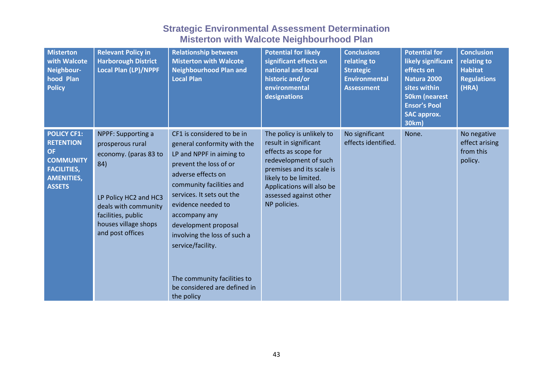| <b>Misterton</b><br>with Walcote<br>Neighbour-<br>hood Plan<br><b>Policy</b>                                                        | <b>Relevant Policy in</b><br><b>Harborough District</b><br>Local Plan (LP)/NPPF                                                                                                                  | <b>Relationship between</b><br><b>Misterton with Walcote</b><br><b>Neighbourhood Plan and</b><br><b>Local Plan</b>                                                                                                                                                                                                                                                                              | <b>Potential for likely</b><br>significant effects on<br>national and local<br>historic and/or<br>environmental<br>designations                                                                                                  | <b>Conclusions</b><br>relating to<br><b>Strategic</b><br><b>Environmental</b><br><b>Assessment</b> | <b>Potential for</b><br>likely significant<br>effects on<br>Natura 2000<br>sites within<br><b>50km (nearest</b><br><b>Ensor's Pool</b><br><b>SAC approx.</b><br>30km) | <b>Conclusion</b><br>relating to<br><b>Habitat</b><br><b>Regulations</b><br>(HRA) |
|-------------------------------------------------------------------------------------------------------------------------------------|--------------------------------------------------------------------------------------------------------------------------------------------------------------------------------------------------|-------------------------------------------------------------------------------------------------------------------------------------------------------------------------------------------------------------------------------------------------------------------------------------------------------------------------------------------------------------------------------------------------|----------------------------------------------------------------------------------------------------------------------------------------------------------------------------------------------------------------------------------|----------------------------------------------------------------------------------------------------|-----------------------------------------------------------------------------------------------------------------------------------------------------------------------|-----------------------------------------------------------------------------------|
| <b>POLICY CF1:</b><br><b>RETENTION</b><br><b>OF</b><br><b>COMMUNITY</b><br><b>FACILITIES,</b><br><b>AMENITIES,</b><br><b>ASSETS</b> | <b>NPPF: Supporting a</b><br>prosperous rural<br>economy. (paras 83 to<br>84)<br>LP Policy HC2 and HC3<br>deals with community<br>facilities, public<br>houses village shops<br>and post offices | CF1 is considered to be in<br>general conformity with the<br>LP and NPPF in aiming to<br>prevent the loss of or<br>adverse effects on<br>community facilities and<br>services. It sets out the<br>evidence needed to<br>accompany any<br>development proposal<br>involving the loss of such a<br>service/facility.<br>The community facilities to<br>be considered are defined in<br>the policy | The policy is unlikely to<br>result in significant<br>effects as scope for<br>redevelopment of such<br>premises and its scale is<br>likely to be limited.<br>Applications will also be<br>assessed against other<br>NP policies. | No significant<br>effects identified.                                                              | None.                                                                                                                                                                 | No negative<br>effect arising<br>from this<br>policy.                             |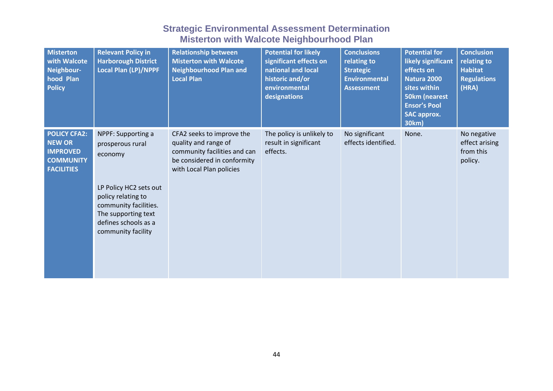| <b>Misterton</b><br>with Walcote<br>Neighbour-<br>hood Plan<br><b>Policy</b>                     | <b>Relevant Policy in</b><br><b>Harborough District</b><br>Local Plan (LP)/NPPF                                                                                                                 | <b>Relationship between</b><br><b>Misterton with Walcote</b><br><b>Neighbourhood Plan and</b><br><b>Local Plan</b>                           | <b>Potential for likely</b><br>significant effects on<br>national and local<br>historic and/or<br>environmental<br>designations | <b>Conclusions</b><br>relating to<br><b>Strategic</b><br><b>Environmental</b><br><b>Assessment</b> | <b>Potential for</b><br>likely significant<br>effects on<br>Natura 2000<br>sites within<br><b>50km (nearest</b><br><b>Ensor's Pool</b><br><b>SAC approx.</b><br>30km) | <b>Conclusion</b><br>relating to<br><b>Habitat</b><br><b>Regulations</b><br>(HRA) |
|--------------------------------------------------------------------------------------------------|-------------------------------------------------------------------------------------------------------------------------------------------------------------------------------------------------|----------------------------------------------------------------------------------------------------------------------------------------------|---------------------------------------------------------------------------------------------------------------------------------|----------------------------------------------------------------------------------------------------|-----------------------------------------------------------------------------------------------------------------------------------------------------------------------|-----------------------------------------------------------------------------------|
| <b>POLICY CFA2:</b><br><b>NEW OR</b><br><b>IMPROVED</b><br><b>COMMUNITY</b><br><b>FACILITIES</b> | NPPF: Supporting a<br>prosperous rural<br>economy<br>LP Policy HC2 sets out<br>policy relating to<br>community facilities.<br>The supporting text<br>defines schools as a<br>community facility | CFA2 seeks to improve the<br>quality and range of<br>community facilities and can<br>be considered in conformity<br>with Local Plan policies | The policy is unlikely to<br>result in significant<br>effects.                                                                  | No significant<br>effects identified.                                                              | None.                                                                                                                                                                 | No negative<br>effect arising<br>from this<br>policy.                             |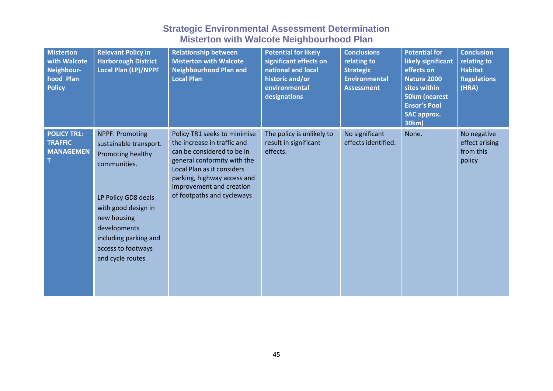| <b>Misterton</b><br>with Walcote<br>Neighbour-<br>hood Plan<br><b>Policy</b> | <b>Relevant Policy in</b><br><b>Harborough District</b><br>Local Plan (LP)/NPPF                                                                                                                                                       | <b>Relationship between</b><br><b>Misterton with Walcote</b><br><b>Neighbourhood Plan and</b><br><b>Local Plan</b>                                                                                                                              | <b>Potential for likely</b><br>significant effects on<br>national and local<br>historic and/or<br>environmental<br>designations | <b>Conclusions</b><br>relating to<br><b>Strategic</b><br><b>Environmental</b><br><b>Assessment</b> | <b>Potential for</b><br>likely significant<br>effects on<br>Natura 2000<br>sites within<br><b>50km (nearest</b><br><b>Ensor's Pool</b><br><b>SAC approx.</b><br>30km) | <b>Conclusion</b><br>relating to<br><b>Habitat</b><br><b>Regulations</b><br>(HRA) |
|------------------------------------------------------------------------------|---------------------------------------------------------------------------------------------------------------------------------------------------------------------------------------------------------------------------------------|-------------------------------------------------------------------------------------------------------------------------------------------------------------------------------------------------------------------------------------------------|---------------------------------------------------------------------------------------------------------------------------------|----------------------------------------------------------------------------------------------------|-----------------------------------------------------------------------------------------------------------------------------------------------------------------------|-----------------------------------------------------------------------------------|
| <b>POLICY TR1:</b><br><b>TRAFFIC</b><br><b>MANAGEMEN</b>                     | <b>NPPF: Promoting</b><br>sustainable transport.<br>Promoting healthy<br>communities.<br>LP Policy GD8 deals<br>with good design in<br>new housing<br>developments<br>including parking and<br>access to footways<br>and cycle routes | Policy TR1 seeks to minimise<br>the increase in traffic and<br>can be considered to be in<br>general conformity with the<br>Local Plan as it considers<br>parking, highway access and<br>improvement and creation<br>of footpaths and cycleways | The policy is unlikely to<br>result in significant<br>effects.                                                                  | No significant<br>effects identified.                                                              | None.                                                                                                                                                                 | No negative<br>effect arising<br>from this<br>policy                              |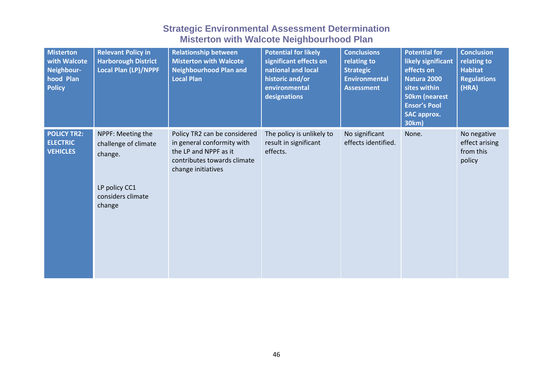| <b>Misterton</b><br>with Walcote<br>Neighbour-<br>hood Plan<br><b>Policy</b> | <b>Relevant Policy in</b><br><b>Harborough District</b><br><b>Local Plan (LP)/NPPF</b>               | <b>Relationship between</b><br><b>Misterton with Walcote</b><br><b>Neighbourhood Plan and</b><br><b>Local Plan</b>                       | <b>Potential for likely</b><br>significant effects on<br>national and local<br>historic and/or<br>environmental<br>designations | <b>Conclusions</b><br>relating to<br><b>Strategic</b><br><b>Environmental</b><br><b>Assessment</b> | <b>Potential for</b><br>likely significant<br>effects on<br>Natura 2000<br>sites within<br>50km (nearest<br><b>Ensor's Pool</b><br><b>SAC approx.</b><br>30km) | <b>Conclusion</b><br>relating to<br><b>Habitat</b><br><b>Regulations</b><br>(HRA) |
|------------------------------------------------------------------------------|------------------------------------------------------------------------------------------------------|------------------------------------------------------------------------------------------------------------------------------------------|---------------------------------------------------------------------------------------------------------------------------------|----------------------------------------------------------------------------------------------------|----------------------------------------------------------------------------------------------------------------------------------------------------------------|-----------------------------------------------------------------------------------|
| <b>POLICY TR2:</b><br><b>ELECTRIC</b><br><b>VEHICLES</b>                     | NPPF: Meeting the<br>challenge of climate<br>change.<br>LP policy CC1<br>considers climate<br>change | Policy TR2 can be considered<br>in general conformity with<br>the LP and NPPF as it<br>contributes towards climate<br>change initiatives | The policy is unlikely to<br>result in significant<br>effects.                                                                  | No significant<br>effects identified.                                                              | None.                                                                                                                                                          | No negative<br>effect arising<br>from this<br>policy                              |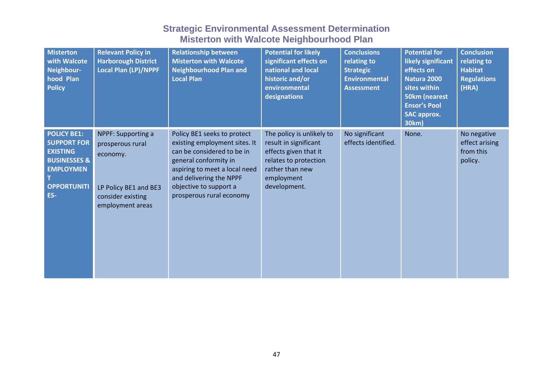| <b>Misterton</b><br>with Walcote<br>Neighbour-<br>hood Plan<br><b>Policy</b>                                                            | <b>Relevant Policy in</b><br><b>Harborough District</b><br><b>Local Plan (LP)/NPPF</b>                               | <b>Relationship between</b><br><b>Misterton with Walcote</b><br><b>Neighbourhood Plan and</b><br><b>Local Plan</b>                                                                                                                    | <b>Potential for likely</b><br>significant effects on<br>national and local<br>historic and/or<br>environmental<br>designations                       | <b>Conclusions</b><br>relating to<br><b>Strategic</b><br><b>Environmental</b><br><b>Assessment</b> | <b>Potential for</b><br>likely significant<br>effects on<br>Natura 2000<br>sites within<br>50km (nearest<br><b>Ensor's Pool</b><br><b>SAC approx.</b><br>30km) | <b>Conclusion</b><br>relating to<br><b>Habitat</b><br><b>Regulations</b><br>(HRA) |
|-----------------------------------------------------------------------------------------------------------------------------------------|----------------------------------------------------------------------------------------------------------------------|---------------------------------------------------------------------------------------------------------------------------------------------------------------------------------------------------------------------------------------|-------------------------------------------------------------------------------------------------------------------------------------------------------|----------------------------------------------------------------------------------------------------|----------------------------------------------------------------------------------------------------------------------------------------------------------------|-----------------------------------------------------------------------------------|
| <b>POLICY BE1:</b><br><b>SUPPORT FOR</b><br><b>EXISTING</b><br><b>BUSINESSES &amp;</b><br><b>EMPLOYMEN</b><br><b>OPPORTUNITI</b><br>ES- | NPPF: Supporting a<br>prosperous rural<br>economy.<br>LP Policy BE1 and BE3<br>consider existing<br>employment areas | Policy BE1 seeks to protect<br>existing employment sites. It<br>can be considered to be in<br>general conformity in<br>aspiring to meet a local need<br>and delivering the NPPF<br>objective to support a<br>prosperous rural economy | The policy is unlikely to<br>result in significant<br>effects given that it<br>relates to protection<br>rather than new<br>employment<br>development. | No significant<br>effects identified.                                                              | None.                                                                                                                                                          | No negative<br>effect arising<br>from this<br>policy.                             |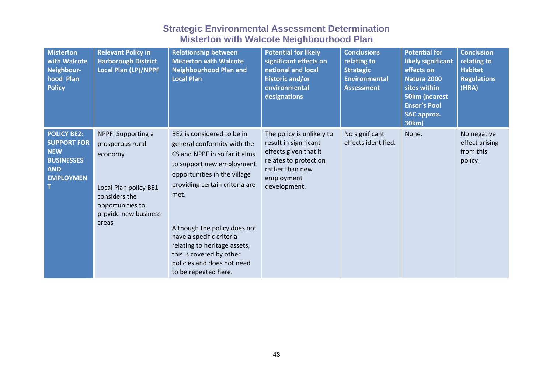| <b>Misterton</b><br>with Walcote<br>Neighbour-<br>hood Plan<br><b>Policy</b>                                  | <b>Relevant Policy in</b><br><b>Harborough District</b><br>Local Plan (LP)/NPPF                                                                  | <b>Relationship between</b><br><b>Misterton with Walcote</b><br><b>Neighbourhood Plan and</b><br><b>Local Plan</b>                                                                                                                                                                                                                                                              | <b>Potential for likely</b><br>significant effects on<br>national and local<br>historic and/or<br>environmental<br>designations                       | <b>Conclusions</b><br>relating to<br><b>Strategic</b><br><b>Environmental</b><br><b>Assessment</b> | <b>Potential for</b><br>likely significant<br>effects on<br>Natura 2000<br>sites within<br>50km (nearest<br><b>Ensor's Pool</b><br><b>SAC approx.</b><br>30km) | <b>Conclusion</b><br>relating to<br><b>Habitat</b><br><b>Regulations</b><br>(HRA) |
|---------------------------------------------------------------------------------------------------------------|--------------------------------------------------------------------------------------------------------------------------------------------------|---------------------------------------------------------------------------------------------------------------------------------------------------------------------------------------------------------------------------------------------------------------------------------------------------------------------------------------------------------------------------------|-------------------------------------------------------------------------------------------------------------------------------------------------------|----------------------------------------------------------------------------------------------------|----------------------------------------------------------------------------------------------------------------------------------------------------------------|-----------------------------------------------------------------------------------|
| <b>POLICY BE2:</b><br><b>SUPPORT FOR</b><br><b>NEW</b><br><b>BUSINESSES</b><br><b>AND</b><br><b>EMPLOYMEN</b> | NPPF: Supporting a<br>prosperous rural<br>economy<br>Local Plan policy BE1<br>considers the<br>opportunities to<br>prpvide new business<br>areas | BE2 is considered to be in<br>general conformity with the<br>CS and NPPF in so far it aims<br>to support new employment<br>opportunities in the village<br>providing certain criteria are<br>met.<br>Although the policy does not<br>have a specific criteria<br>relating to heritage assets,<br>this is covered by other<br>policies and does not need<br>to be repeated here. | The policy is unlikely to<br>result in significant<br>effects given that it<br>relates to protection<br>rather than new<br>employment<br>development. | No significant<br>effects identified.                                                              | None.                                                                                                                                                          | No negative<br>effect arising<br>from this<br>policy.                             |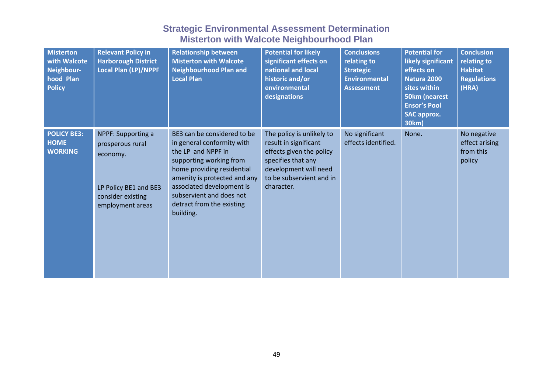| <b>Misterton</b><br>with Walcote<br>Neighbour-<br>hood Plan<br><b>Policy</b> | <b>Relevant Policy in</b><br><b>Harborough District</b><br><b>Local Plan (LP)/NPPF</b>                               | <b>Relationship between</b><br><b>Misterton with Walcote</b><br><b>Neighbourhood Plan and</b><br><b>Local Plan</b>                                                                                                                                                          | <b>Potential for likely</b><br>significant effects on<br>national and local<br>historic and/or<br>environmental<br>designations                                         | <b>Conclusions</b><br>relating to<br><b>Strategic</b><br><b>Environmental</b><br><b>Assessment</b> | <b>Potential for</b><br>likely significant<br>effects on<br>Natura 2000<br>sites within<br><b>50km (nearest</b><br><b>Ensor's Pool</b><br><b>SAC approx.</b><br>30km) | <b>Conclusion</b><br>relating to<br><b>Habitat</b><br><b>Regulations</b><br>(HRA) |
|------------------------------------------------------------------------------|----------------------------------------------------------------------------------------------------------------------|-----------------------------------------------------------------------------------------------------------------------------------------------------------------------------------------------------------------------------------------------------------------------------|-------------------------------------------------------------------------------------------------------------------------------------------------------------------------|----------------------------------------------------------------------------------------------------|-----------------------------------------------------------------------------------------------------------------------------------------------------------------------|-----------------------------------------------------------------------------------|
| <b>POLICY BE3:</b><br><b>HOME</b><br><b>WORKING</b>                          | NPPF: Supporting a<br>prosperous rural<br>economy.<br>LP Policy BE1 and BE3<br>consider existing<br>employment areas | BE3 can be considered to be<br>in general conformity with<br>the LP and NPPF in<br>supporting working from<br>home providing residential<br>amenity is protected and any<br>associated development is<br>subservient and does not<br>detract from the existing<br>building. | The policy is unlikely to<br>result in significant<br>effects given the policy<br>specifies that any<br>development will need<br>to be subservient and in<br>character. | No significant<br>effects identified.                                                              | None.                                                                                                                                                                 | No negative<br>effect arising<br>from this<br>policy                              |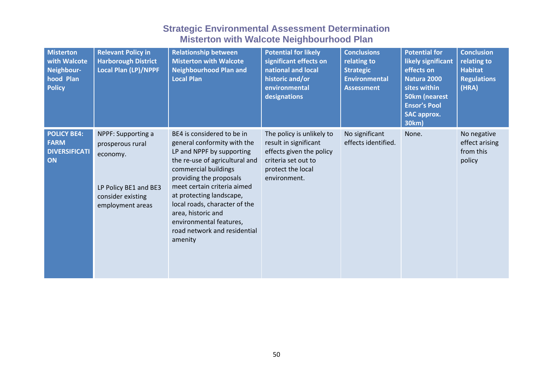| <b>Misterton</b><br>with Walcote<br>Neighbour-<br>hood Plan<br><b>Policy</b> | <b>Relevant Policy in</b><br><b>Harborough District</b><br>Local Plan (LP)/NPPF                                      | <b>Relationship between</b><br><b>Misterton with Walcote</b><br><b>Neighbourhood Plan and</b><br><b>Local Plan</b>                                                                                                                                                                                                                                                  | <b>Potential for likely</b><br>significant effects on<br>national and local<br>historic and/or<br>environmental<br>designations            | <b>Conclusions</b><br>relating to<br><b>Strategic</b><br><b>Environmental</b><br><b>Assessment</b> | <b>Potential for</b><br>likely significant<br>effects on<br>Natura 2000<br>sites within<br><b>50km (nearest</b><br><b>Ensor's Pool</b><br><b>SAC approx.</b><br>30km) | <b>Conclusion</b><br>relating to<br><b>Habitat</b><br><b>Regulations</b><br>(HRA) |
|------------------------------------------------------------------------------|----------------------------------------------------------------------------------------------------------------------|---------------------------------------------------------------------------------------------------------------------------------------------------------------------------------------------------------------------------------------------------------------------------------------------------------------------------------------------------------------------|--------------------------------------------------------------------------------------------------------------------------------------------|----------------------------------------------------------------------------------------------------|-----------------------------------------------------------------------------------------------------------------------------------------------------------------------|-----------------------------------------------------------------------------------|
| <b>POLICY BE4:</b><br><b>FARM</b><br><b>DIVERSIFICATI</b><br>ON              | NPPF: Supporting a<br>prosperous rural<br>economy.<br>LP Policy BE1 and BE3<br>consider existing<br>employment areas | BE4 is considered to be in<br>general conformity with the<br>LP and NPPF by supporting<br>the re-use of agricultural and<br>commercial buildings<br>providing the proposals<br>meet certain criteria aimed<br>at protecting landscape,<br>local roads, character of the<br>area, historic and<br>environmental features,<br>road network and residential<br>amenity | The policy is unlikely to<br>result in significant<br>effects given the policy<br>criteria set out to<br>protect the local<br>environment. | No significant<br>effects identified.                                                              | None.                                                                                                                                                                 | No negative<br>effect arising<br>from this<br>policy                              |